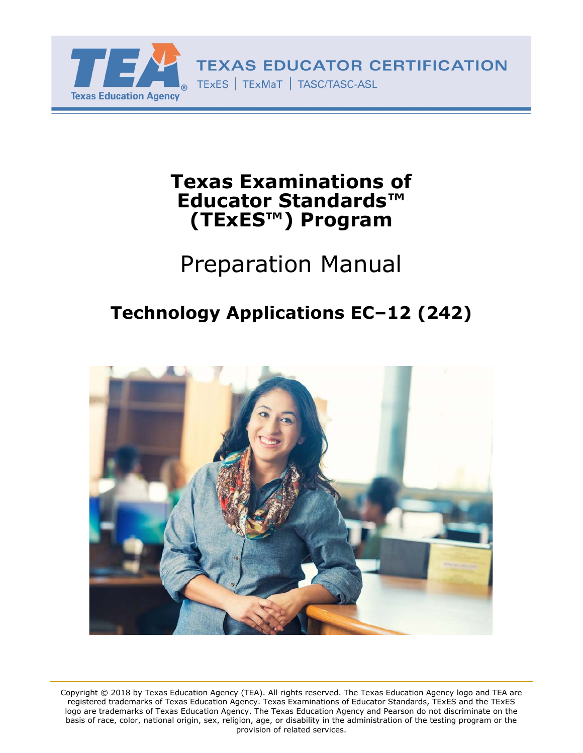

# **Texas Examinations of Educator Standards™ (TExES™) Program**

# Preparation Manual

# **Technology Applications EC–12 (242)**



Copyright © 2018 by Texas Education Agency (TEA). All rights reserved. The Texas Education Agency logo and TEA are registered trademarks of Texas Education Agency. Texas Examinations of Educator Standards, TExES and the TExES logo are trademarks of Texas Education Agency. The Texas Education Agency and Pearson do not discriminate on the basis of race, color, national origin, sex, religion, age, or disability in the administration of the testing program or the provision of related services.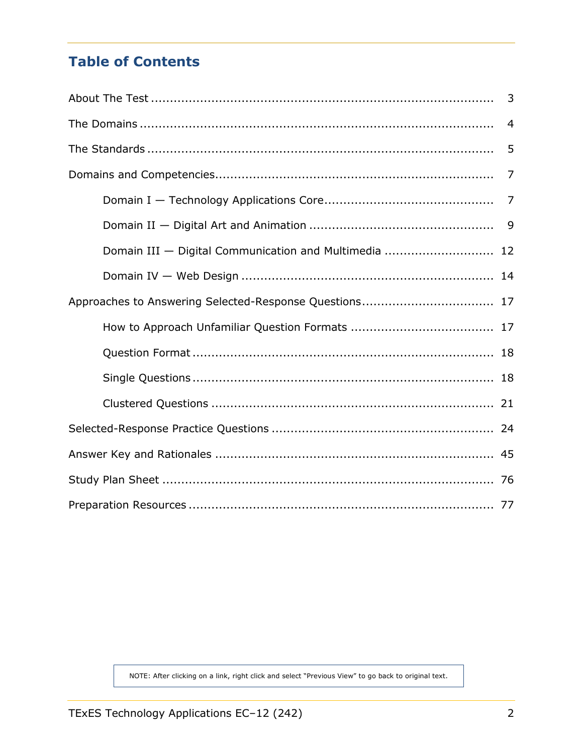# **Table of Contents**

|                                                       | 3              |  |
|-------------------------------------------------------|----------------|--|
|                                                       | $\overline{4}$ |  |
|                                                       | 5              |  |
|                                                       | 7              |  |
|                                                       |                |  |
|                                                       |                |  |
| Domain III - Digital Communication and Multimedia  12 |                |  |
|                                                       |                |  |
|                                                       |                |  |
|                                                       |                |  |
|                                                       |                |  |
|                                                       |                |  |
|                                                       |                |  |
|                                                       |                |  |
|                                                       |                |  |
|                                                       |                |  |
|                                                       |                |  |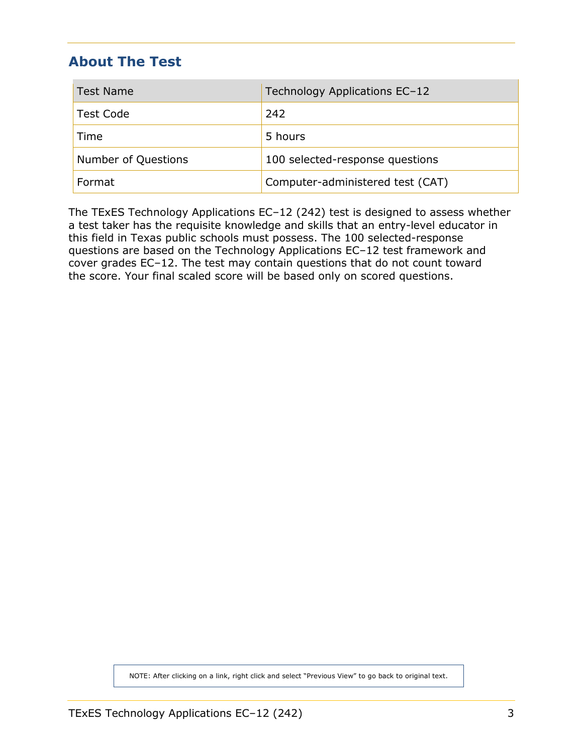## <span id="page-2-0"></span>**About The Test**

| <b>Test Name</b>    | Technology Applications EC-12    |  |
|---------------------|----------------------------------|--|
| <b>Test Code</b>    | 242                              |  |
| Time                | 5 hours                          |  |
| Number of Questions | 100 selected-response questions  |  |
| Format              | Computer-administered test (CAT) |  |

The TExES Technology Applications EC–12 (242) test is designed to assess whether a test taker has the requisite knowledge and skills that an entry-level educator in this field in Texas public schools must possess. The 100 selected-response questions are based on the Technology Applications EC–12 test framework and cover grades EC–12. The test may contain questions that do not count toward the score. Your final scaled score will be based only on scored questions.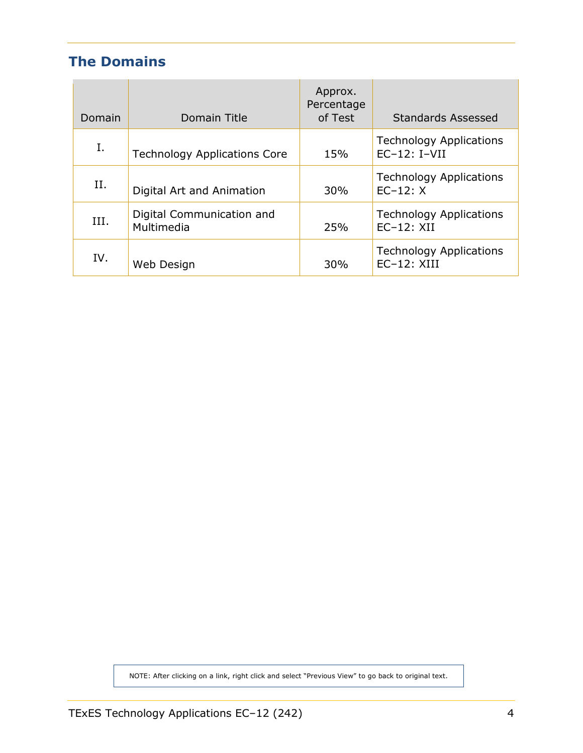# <span id="page-3-0"></span>**The Domains**

| Domain | Domain Title                            | Approx.<br>Percentage<br>of Test | <b>Standards Assessed</b>                         |
|--------|-----------------------------------------|----------------------------------|---------------------------------------------------|
| I.     | <b>Technology Applications Core</b>     | 15%                              | <b>Technology Applications</b><br>$EC-12$ : I-VII |
| Η.     | Digital Art and Animation               | 30%                              | <b>Technology Applications</b><br>$EC-12: X$      |
| III.   | Digital Communication and<br>Multimedia | 25%                              | <b>Technology Applications</b><br>$EC-12$ : XII   |
| IV.    | Web Design                              | 30%                              | <b>Technology Applications</b><br>$EC-12$ : XIII  |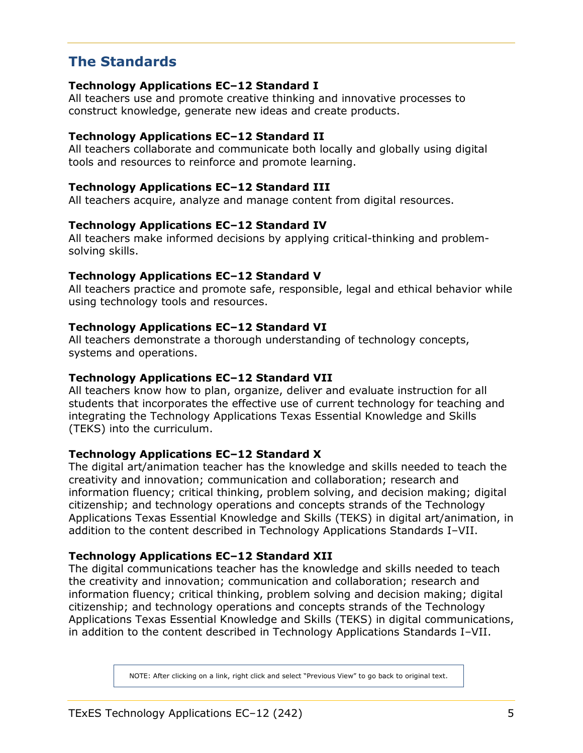## <span id="page-4-0"></span>**The Standards**

#### **Technology Applications EC–12 Standard I**

All teachers use and promote creative thinking and innovative processes to construct knowledge, generate new ideas and create products.

#### **Technology Applications EC–12 Standard II**

All teachers collaborate and communicate both locally and globally using digital tools and resources to reinforce and promote learning.

#### **Technology Applications EC–12 Standard III**

All teachers acquire, analyze and manage content from digital resources.

#### **Technology Applications EC–12 Standard IV**

All teachers make informed decisions by applying critical-thinking and problemsolving skills.

#### **Technology Applications EC–12 Standard V**

All teachers practice and promote safe, responsible, legal and ethical behavior while using technology tools and resources.

#### **Technology Applications EC–12 Standard VI**

All teachers demonstrate a thorough understanding of technology concepts, systems and operations.

#### **Technology Applications EC–12 Standard VII**

All teachers know how to plan, organize, deliver and evaluate instruction for all students that incorporates the effective use of current technology for teaching and integrating the Technology Applications Texas Essential Knowledge and Skills (TEKS) into the curriculum.

#### **Technology Applications EC–12 Standard X**

The digital art/animation teacher has the knowledge and skills needed to teach the creativity and innovation; communication and collaboration; research and information fluency; critical thinking, problem solving, and decision making; digital citizenship; and technology operations and concepts strands of the Technology Applications Texas Essential Knowledge and Skills (TEKS) in digital art/animation, in addition to the content described in Technology Applications Standards I–VII.

#### **Technology Applications EC–12 Standard XII**

The digital communications teacher has the knowledge and skills needed to teach the creativity and innovation; communication and collaboration; research and information fluency; critical thinking, problem solving and decision making; digital citizenship; and technology operations and concepts strands of the Technology Applications Texas Essential Knowledge and Skills (TEKS) in digital communications, in addition to the content described in Technology Applications Standards I–VII.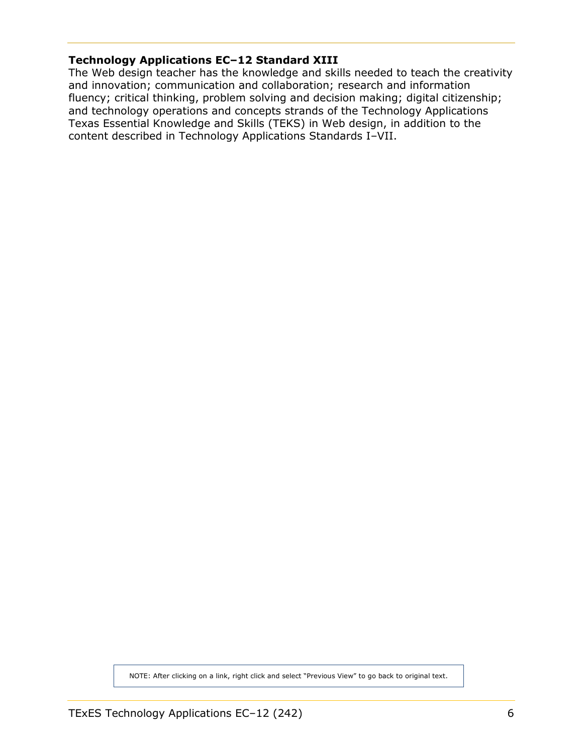#### **Technology Applications EC–12 Standard XIII**

The Web design teacher has the knowledge and skills needed to teach the creativity and innovation; communication and collaboration; research and information fluency; critical thinking, problem solving and decision making; digital citizenship; and technology operations and concepts strands of the Technology Applications Texas Essential Knowledge and Skills (TEKS) in Web design, in addition to the content described in Technology Applications Standards I–VII.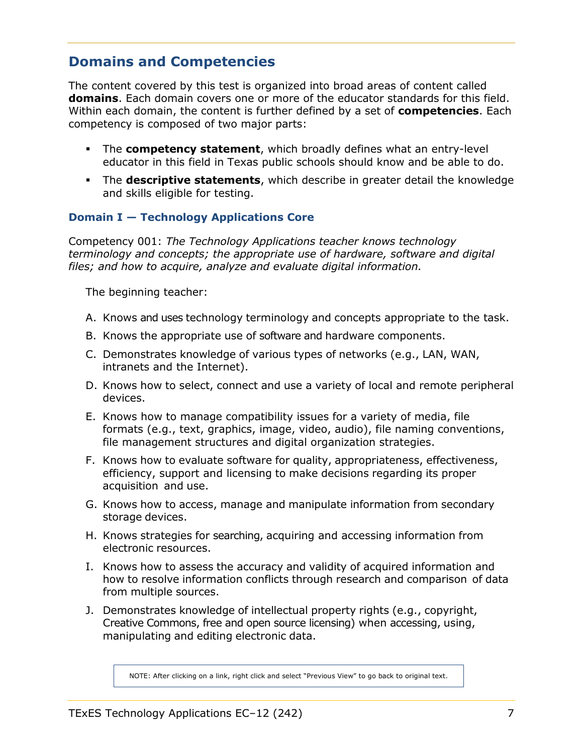## <span id="page-6-0"></span>**Domains and Competencies**

The content covered by this test is organized into broad areas of content called **domains**. Each domain covers one or more of the educator standards for this field. Within each domain, the content is further defined by a set of **competencies**. Each competency is composed of two major parts:

- The **competency statement**, which broadly defines what an entry-level educator in this field in Texas public schools should know and be able to do.
- The **descriptive statements**, which describe in greater detail the knowledge and skills eligible for testing.

#### **Domain I — Technology Applications Core**

Competency 001: *The Technology Applications teacher knows technology terminology and concepts; the appropriate use of hardware, software and digital files; and how to acquire, analyze and evaluate digital information.*

The beginning teacher:

- A. Knows and uses technology terminology and concepts appropriate to the task.
- B. Knows the appropriate use of software and hardware components.
- C. Demonstrates knowledge of various types of networks (e.g., LAN, WAN, intranets and the Internet).
- D. Knows how to select, connect and use a variety of local and remote peripheral devices.
- E. Knows how to manage compatibility issues for a variety of media, file formats (e.g., text, graphics, image, video, audio), file naming conventions, file management structures and digital organization strategies.
- F. Knows how to evaluate software for quality, appropriateness, effectiveness, efficiency, support and licensing to make decisions regarding its proper acquisition and use.
- G. Knows how to access, manage and manipulate information from secondary storage devices.
- H. Knows strategies for searching, acquiring and accessing information from electronic resources.
- I. Knows how to assess the accuracy and validity of acquired information and how to resolve information conflicts through research and comparison of data from multiple sources.
- J. Demonstrates knowledge of intellectual property rights (e.g., copyright, Creative Commons, free and open source licensing) when accessing, using, manipulating and editing electronic data.

NOTE: After clicking on a link, right click and select "Previous View" to go back to original text.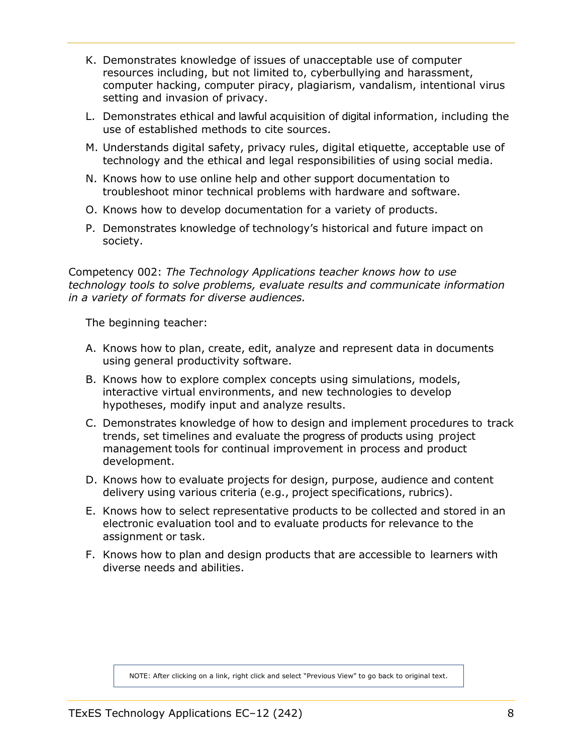- <span id="page-7-0"></span>K. Demonstrates knowledge of issues of unacceptable use of computer resources including, but not limited to, cyberbullying and harassment, computer hacking, computer piracy, plagiarism, vandalism, intentional virus setting and invasion of privacy.
- L. Demonstrates ethical and lawful acquisition of digital information, including the use of established methods to cite sources.
- M. Understands digital safety, privacy rules, digital etiquette, acceptable use of technology and the ethical and legal responsibilities of using social media.
- N. Knows how to use online help and other support documentation to troubleshoot minor technical problems with hardware and software.
- O. Knows how to develop documentation for a variety of products.
- P. Demonstrates knowledge of technology's historical and future impact on society.

Competency 002: *The Technology Applications teacher knows how to use technology tools to solve problems, evaluate results and communicate information in a variety of formats for diverse audiences.*

The beginning teacher:

- A. Knows how to plan, create, edit, analyze and represent data in documents using general productivity software.
- B. Knows how to explore complex concepts using simulations, models, interactive virtual environments, and new technologies to develop hypotheses, modify input and analyze results.
- C. Demonstrates knowledge of how to design and implement procedures to track trends, set timelines and evaluate the progress of products using project management tools for continual improvement in process and product development.
- D. Knows how to evaluate projects for design, purpose, audience and content delivery using various criteria (e.g., project specifications, rubrics).
- E. Knows how to select representative products to be collected and stored in an electronic evaluation tool and to evaluate products for relevance to the assignment or task.
- F. Knows how to plan and design products that are accessible to learners with diverse needs and abilities.

NOTE: After clicking on a link, right click and select "Previous View" to go back to original text.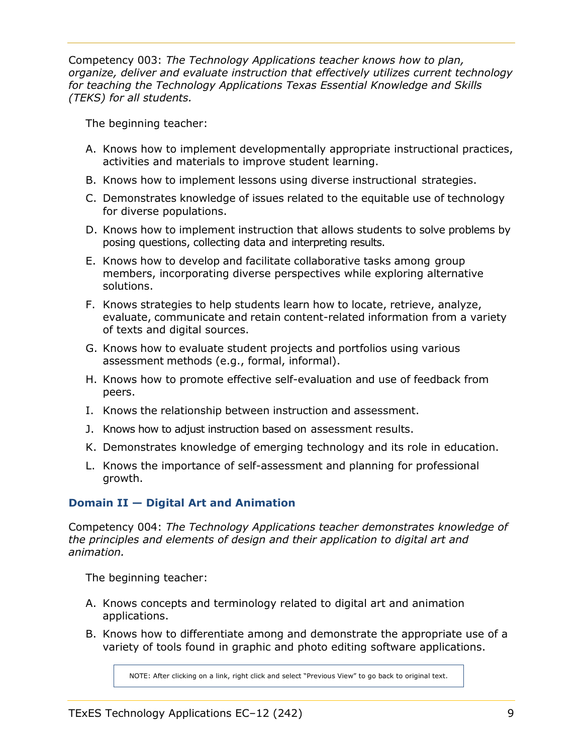<span id="page-8-0"></span>Competency 003: *The Technology Applications teacher knows how to plan, organize, deliver and evaluate instruction that effectively utilizes current technology for teaching the Technology Applications Texas Essential Knowledge and Skills (TEKS) for all students.*

The beginning teacher:

- A. Knows how to implement developmentally appropriate instructional practices, activities and materials to improve student learning.
- B. Knows how to implement lessons using diverse instructional strategies.
- C. Demonstrates knowledge of issues related to the equitable use of technology for diverse populations.
- D. Knows how to implement instruction that allows students to solve problems by posing questions, collecting data and interpreting results.
- E. Knows how to develop and facilitate collaborative tasks among group members, incorporating diverse perspectives while exploring alternative solutions.
- F. Knows strategies to help students learn how to locate, retrieve, analyze, evaluate, communicate and retain content-related information from a variety of texts and digital sources.
- G. Knows how to evaluate student projects and portfolios using various assessment methods (e.g., formal, informal).
- H. Knows how to promote effective self-evaluation and use of feedback from peers.
- I. Knows the relationship between instruction and assessment.
- J. Knows how to adjust instruction based on assessment results.
- K. Demonstrates knowledge of emerging technology and its role in education.
- L. Knows the importance of self-assessment and planning for professional growth.

#### **Domain II — Digital Art and Animation**

Competency 004: *The Technology Applications teacher demonstrates knowledge of the principles and elements of design and their application to digital art and animation.*

The beginning teacher:

- A. Knows concepts and terminology related to digital art and animation applications.
- B. Knows how to differentiate among and demonstrate the appropriate use of a variety of tools found in graphic and photo editing software applications.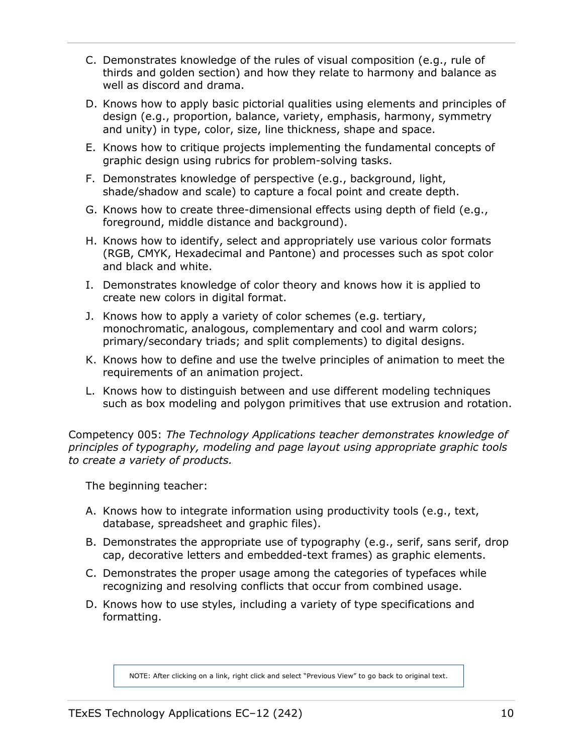- <span id="page-9-0"></span>C. Demonstrates knowledge of the rules of visual composition (e.g., rule of thirds and golden section) and how they relate to harmony and balance as well as discord and drama.
- D. Knows how to apply basic pictorial qualities using elements and principles of design (e.g., proportion, balance, variety, emphasis, harmony, symmetry and unity) in type, color, size, line thickness, shape and space.
- E. Knows how to critique projects implementing the fundamental concepts of graphic design using rubrics for problem-solving tasks.
- F. Demonstrates knowledge of perspective (e.g., background, light, shade/shadow and scale) to capture a focal point and create depth.
- G. Knows how to create three-dimensional effects using depth of field (e.g., foreground, middle distance and background).
- H. Knows how to identify, select and appropriately use various color formats (RGB, CMYK, Hexadecimal and Pantone) and processes such as spot color and black and white.
- I. Demonstrates knowledge of color theory and knows how it is applied to create new colors in digital format.
- J. Knows how to apply a variety of color schemes (e.g. tertiary, monochromatic, analogous, complementary and cool and warm colors; primary/secondary triads; and split complements) to digital designs.
- K. Knows how to define and use the twelve principles of animation to meet the requirements of an animation project.
- L. Knows how to distinguish between and use different modeling techniques such as box modeling and polygon primitives that use extrusion and rotation.

Competency 005: *The Technology Applications teacher demonstrates knowledge of principles of typography, modeling and page layout using appropriate graphic tools to create a variety of products.*

The beginning teacher:

- A. Knows how to integrate information using productivity tools (e.g., text, database, spreadsheet and graphic files).
- B. Demonstrates the appropriate use of typography (e.g., serif, sans serif, drop cap, decorative letters and embedded-text frames) as graphic elements.
- C. Demonstrates the proper usage among the categories of typefaces while recognizing and resolving conflicts that occur from combined usage.
- D. Knows how to use styles, including a variety of type specifications and formatting.

NOTE: After clicking on a link, right click and select "Previous View" to go back to original text.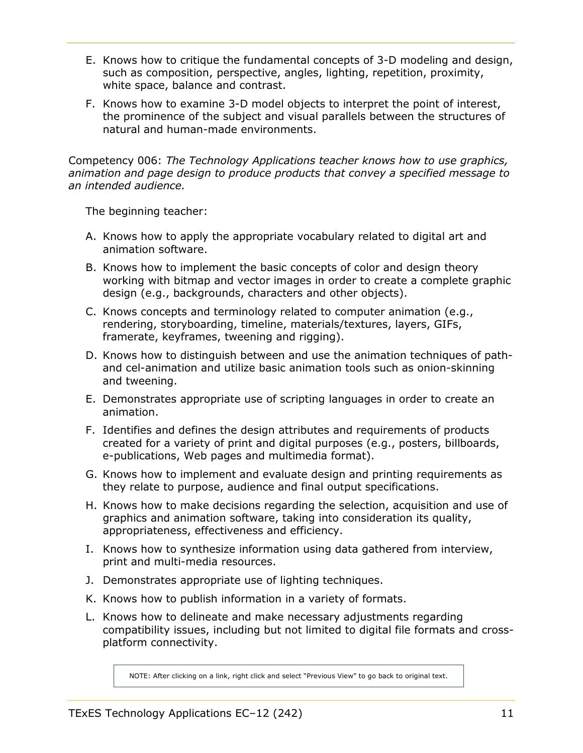- <span id="page-10-0"></span>E. Knows how to critique the fundamental concepts of 3-D modeling and design, such as composition, perspective, angles, lighting, repetition, proximity, white space, balance and contrast.
- F. Knows how to examine 3-D model objects to interpret the point of interest, the prominence of the subject and visual parallels between the structures of natural and human-made environments.

Competency 006: *The Technology Applications teacher knows how to use graphics, animation and page design to produce products that convey a specified message to an intended audience.*

The beginning teacher:

- A. Knows how to apply the appropriate vocabulary related to digital art and animation software.
- B. Knows how to implement the basic concepts of color and design theory working with bitmap and vector images in order to create a complete graphic design (e.g., backgrounds, characters and other objects).
- C. Knows concepts and terminology related to computer animation (e.g., rendering, storyboarding, timeline, materials/textures, layers, GIFs, framerate, keyframes, tweening and rigging).
- D. Knows how to distinguish between and use the animation techniques of pathand cel-animation and utilize basic animation tools such as onion-skinning and tweening.
- E. Demonstrates appropriate use of scripting languages in order to create an animation.
- F. Identifies and defines the design attributes and requirements of products created for a variety of print and digital purposes (e.g., posters, billboards, e-publications, Web pages and multimedia format).
- G. Knows how to implement and evaluate design and printing requirements as they relate to purpose, audience and final output specifications.
- H. Knows how to make decisions regarding the selection, acquisition and use of graphics and animation software, taking into consideration its quality, appropriateness, effectiveness and efficiency.
- I. Knows how to synthesize information using data gathered from interview, print and multi-media resources.
- J. Demonstrates appropriate use of lighting techniques.
- K. Knows how to publish information in a variety of formats.
- L. Knows how to delineate and make necessary adjustments regarding compatibility issues, including but not limited to digital file formats and crossplatform connectivity.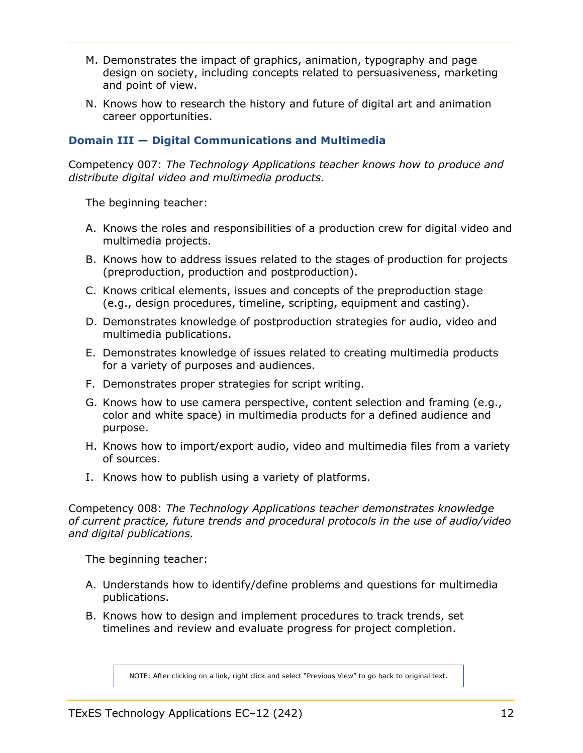- <span id="page-11-0"></span>M. Demonstrates the impact of graphics, animation, typography and page design on society, including concepts related to persuasiveness, marketing and point of view.
- N. Knows how to research the history and future of digital art and animation career opportunities.

#### **Domain III — Digital Communications and Multimedia**

Competency 007: *The Technology Applications teacher knows how to produce and distribute digital video and multimedia products.*

The beginning teacher:

- A. Knows the roles and responsibilities of a production crew for digital video and multimedia projects.
- B. Knows how to address issues related to the stages of production for projects (preproduction, production and postproduction).
- C. Knows critical elements, issues and concepts of the preproduction stage (e.g., design procedures, timeline, scripting, equipment and casting).
- D. Demonstrates knowledge of postproduction strategies for audio, video and multimedia publications.
- E. Demonstrates knowledge of issues related to creating multimedia products for a variety of purposes and audiences.
- F. Demonstrates proper strategies for script writing.
- G. Knows how to use camera perspective, content selection and framing (e.g., color and white space) in multimedia products for a defined audience and purpose.
- H. Knows how to import/export audio, video and multimedia files from a variety of sources.
- I. Knows how to publish using a variety of platforms.

Competency 008: *The Technology Applications teacher demonstrates knowledge of current practice, future trends and procedural protocols in the use of audio/video and digital publications.*

The beginning teacher:

- A. Understands how to identify/define problems and questions for multimedia publications.
- B. Knows how to design and implement procedures to track trends, set timelines and review and evaluate progress for project completion.

NOTE: After clicking on a link, right click and select "Previous View" to go back to original text.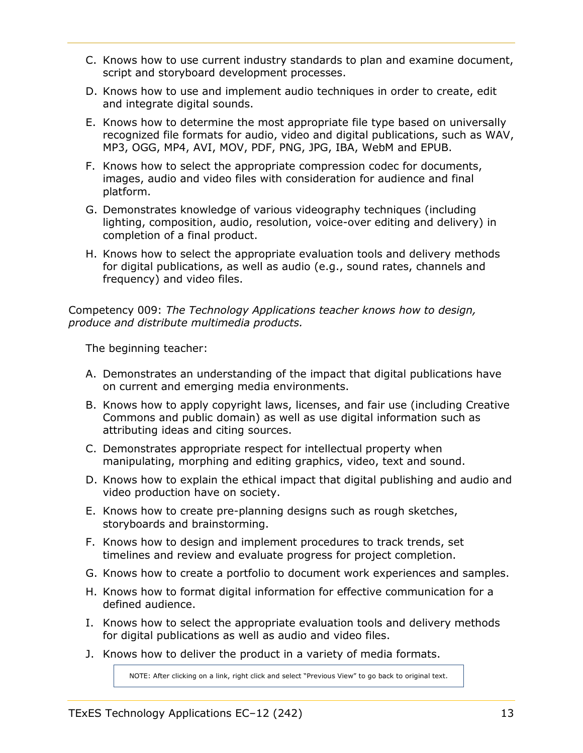- C. Knows how to use current industry standards to plan and examine document, script and storyboard development processes.
- D. Knows how to use and implement audio techniques in order to create, edit and integrate digital sounds.
- E. Knows how to determine the most appropriate file type based on universally recognized file formats for audio, video and digital publications, such as WAV, MP3, OGG, MP4, AVI, MOV, PDF, PNG, JPG, IBA, WebM and EPUB.
- F. Knows how to select the appropriate compression codec for documents, images, audio and video files with consideration for audience and final platform.
- G. Demonstrates knowledge of various videography techniques (including lighting, composition, audio, resolution, voice-over editing and delivery) in completion of a final product.
- H. Knows how to select the appropriate evaluation tools and delivery methods for digital publications, as well as audio (e.g., sound rates, channels and frequency) and video files.

Competency 009: *The Technology Applications teacher knows how to design, produce and distribute multimedia products.*

The beginning teacher:

- A. Demonstrates an understanding of the impact that digital publications have on current and emerging media environments.
- B. Knows how to apply copyright laws, licenses, and fair use (including Creative Commons and public domain) as well as use digital information such as attributing ideas and citing sources.
- C. Demonstrates appropriate respect for intellectual property when manipulating, morphing and editing graphics, video, text and sound.
- D. Knows how to explain the ethical impact that digital publishing and audio and video production have on society.
- E. Knows how to create pre-planning designs such as rough sketches, storyboards and brainstorming.
- F. Knows how to design and implement procedures to track trends, set timelines and review and evaluate progress for project completion.
- G. Knows how to create a portfolio to document work experiences and samples.
- H. Knows how to format digital information for effective communication for a defined audience.
- I. Knows how to select the appropriate evaluation tools and delivery methods for digital publications as well as audio and video files.
- J. Knows how to deliver the product in a variety of media formats.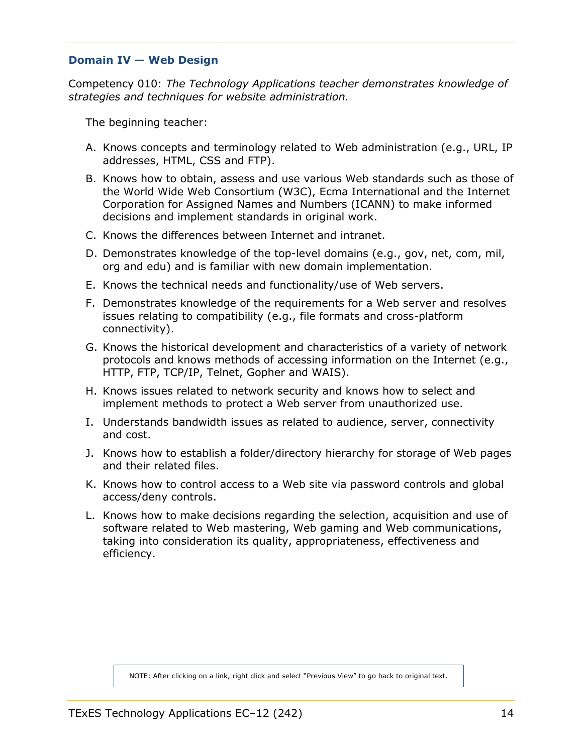#### <span id="page-13-0"></span>**Domain IV — Web Design**

Competency 010: *The Technology Applications teacher demonstrates knowledge of strategies and techniques for website administration.*

The beginning teacher:

- A. Knows concepts and terminology related to Web administration (e.g., URL, IP addresses, HTML, CSS and FTP).
- B. Knows how to obtain, assess and use various Web standards such as those of the World Wide Web Consortium (W3C), Ecma International and the Internet Corporation for Assigned Names and Numbers (ICANN) to make informed decisions and implement standards in original work.
- C. Knows the differences between Internet and intranet.
- D. Demonstrates knowledge of the top-level domains (e.g., gov, net, com, mil, org and edu) and is familiar with new domain implementation.
- E. Knows the technical needs and functionality/use of Web servers.
- F. Demonstrates knowledge of the requirements for a Web server and resolves issues relating to compatibility (e.g., file formats and cross-platform connectivity).
- G. Knows the historical development and characteristics of a variety of network protocols and knows methods of accessing information on the Internet (e.g., HTTP, FTP, TCP/IP, Telnet, Gopher and WAIS).
- H. Knows issues related to network security and knows how to select and implement methods to protect a Web server from unauthorized use.
- I. Understands bandwidth issues as related to audience, server, connectivity and cost.
- J. Knows how to establish a folder/directory hierarchy for storage of Web pages and their related files.
- K. Knows how to control access to a Web site via password controls and global access/deny controls.
- L. Knows how to make decisions regarding the selection, acquisition and use of software related to Web mastering, Web gaming and Web communications, taking into consideration its quality, appropriateness, effectiveness and efficiency.

NOTE: After clicking on a link, right click and select "Previous View" to go back to original text.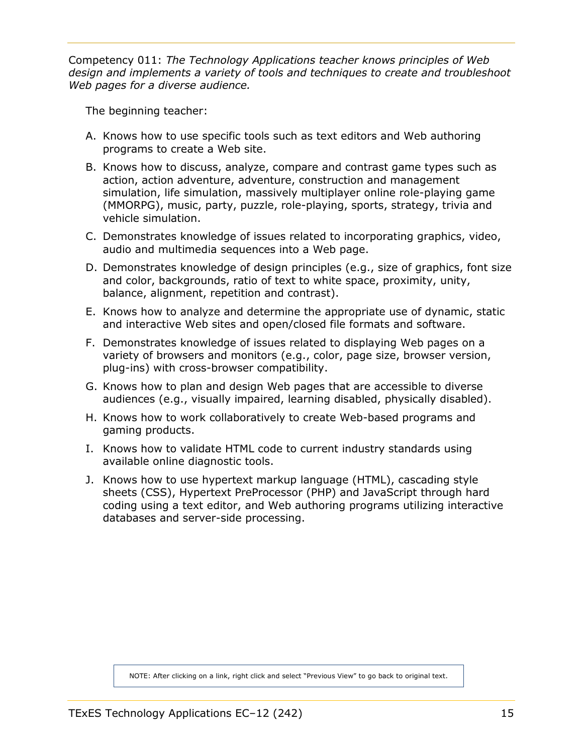Competency 011: *The Technology Applications teacher knows principles of Web design and implements a variety of tools and techniques to create and troubleshoot Web pages for a diverse audience.*

The beginning teacher:

- A. Knows how to use specific tools such as text editors and Web authoring programs to create a Web site.
- B. Knows how to discuss, analyze, compare and contrast game types such as action, action adventure, adventure, construction and management simulation, life simulation, massively multiplayer online role-playing game (MMORPG), music, party, puzzle, role-playing, sports, strategy, trivia and vehicle simulation.
- C. Demonstrates knowledge of issues related to incorporating graphics, video, audio and multimedia sequences into a Web page.
- D. Demonstrates knowledge of design principles (e.g., size of graphics, font size and color, backgrounds, ratio of text to white space, proximity, unity, balance, alignment, repetition and contrast).
- E. Knows how to analyze and determine the appropriate use of dynamic, static and interactive Web sites and open/closed file formats and software.
- F. Demonstrates knowledge of issues related to displaying Web pages on a variety of browsers and monitors (e.g., color, page size, browser version, plug-ins) with cross-browser compatibility.
- G. Knows how to plan and design Web pages that are accessible to diverse audiences (e.g., visually impaired, learning disabled, physically disabled).
- H. Knows how to work collaboratively to create Web-based programs and gaming products.
- I. Knows how to validate HTML code to current industry standards using available online diagnostic tools.
- J. Knows how to use hypertext markup language (HTML), cascading style sheets (CSS), Hypertext PreProcessor (PHP) and JavaScript through hard coding using a text editor, and Web authoring programs utilizing interactive databases and server-side processing.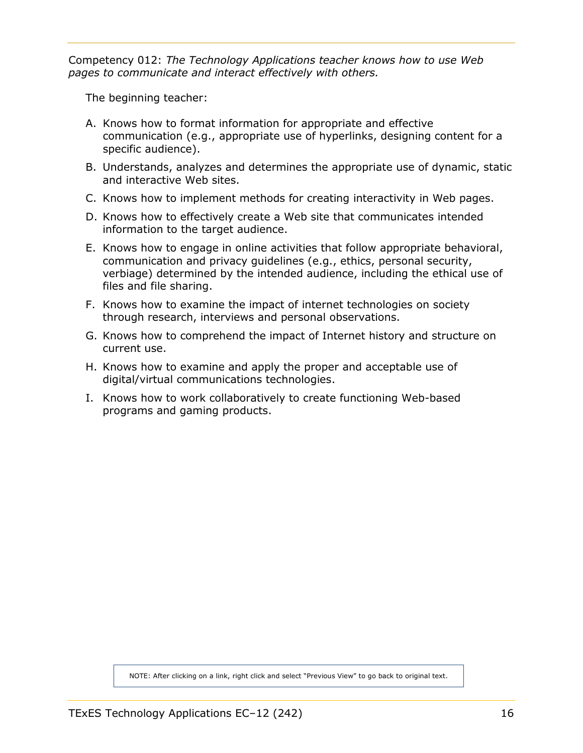Competency 012: *The Technology Applications teacher knows how to use Web pages to communicate and interact effectively with others.*

The beginning teacher:

- A. Knows how to format information for appropriate and effective communication (e.g., appropriate use of hyperlinks, designing content for a specific audience).
- B. Understands, analyzes and determines the appropriate use of dynamic, static and interactive Web sites.
- C. Knows how to implement methods for creating interactivity in Web pages.
- D. Knows how to effectively create a Web site that communicates intended information to the target audience.
- E. Knows how to engage in online activities that follow appropriate behavioral, communication and privacy guidelines (e.g., ethics, personal security, verbiage) determined by the intended audience, including the ethical use of files and file sharing.
- F. Knows how to examine the impact of internet technologies on society through research, interviews and personal observations.
- G. Knows how to comprehend the impact of Internet history and structure on current use.
- H. Knows how to examine and apply the proper and acceptable use of digital/virtual communications technologies.
- I. Knows how to work collaboratively to create functioning Web-based programs and gaming products.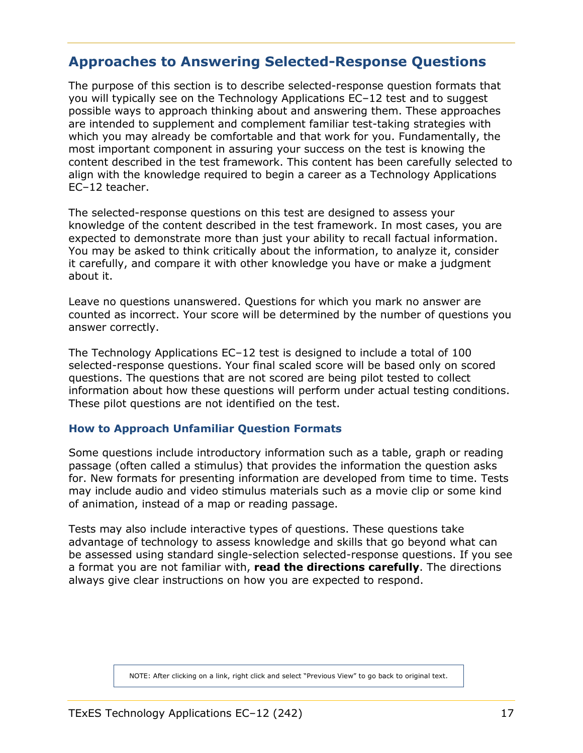### <span id="page-16-0"></span>**Approaches to Answering Selected-Response Questions**

The purpose of this section is to describe selected-response question formats that you will typically see on the Technology Applications EC–12 test and to suggest possible ways to approach thinking about and answering them. These approaches are intended to supplement and complement familiar test-taking strategies with which you may already be comfortable and that work for you. Fundamentally, the most important component in assuring your success on the test is knowing the content described in the test framework. This content has been carefully selected to align with the knowledge required to begin a career as a Technology Applications EC–12 teacher.

The selected-response questions on this test are designed to assess your knowledge of the content described in the test framework. In most cases, you are expected to demonstrate more than just your ability to recall factual information. You may be asked to think critically about the information, to analyze it, consider it carefully, and compare it with other knowledge you have or make a judgment about it.

Leave no questions unanswered. Questions for which you mark no answer are counted as incorrect. Your score will be determined by the number of questions you answer correctly.

The Technology Applications EC–12 test is designed to include a total of 100 selected-response questions. Your final scaled score will be based only on scored questions. The questions that are not scored are being pilot tested to collect information about how these questions will perform under actual testing conditions. These pilot questions are not identified on the test.

#### **How to Approach Unfamiliar Question Formats**

Some questions include introductory information such as a table, graph or reading passage (often called a stimulus) that provides the information the question asks for. New formats for presenting information are developed from time to time. Tests may include audio and video stimulus materials such as a movie clip or some kind of animation, instead of a map or reading passage.

Tests may also include interactive types of questions. These questions take advantage of technology to assess knowledge and skills that go beyond what can be assessed using standard single-selection selected-response questions. If you see a format you are not familiar with, **read the directions carefully**. The directions always give clear instructions on how you are expected to respond.

NOTE: After clicking on a link, right click and select "Previous View" to go back to original text.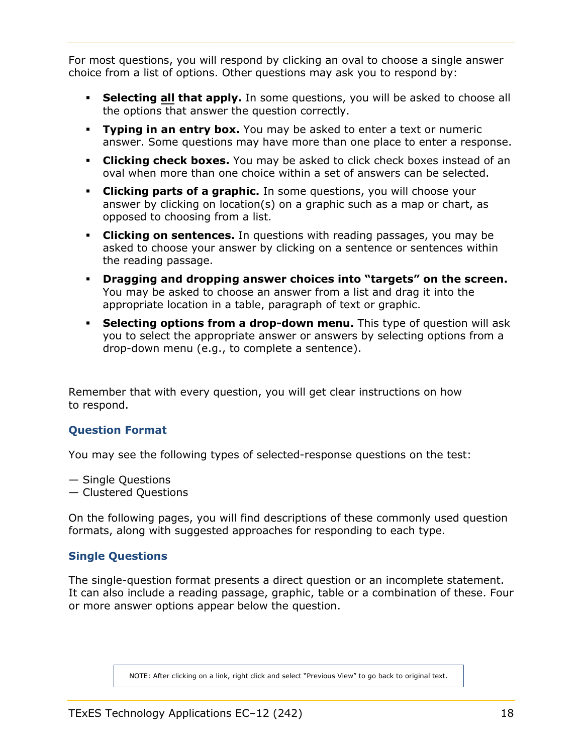<span id="page-17-0"></span>For most questions, you will respond by clicking an oval to choose a single answer choice from a list of options. Other questions may ask you to respond by:

- **Selecting all that apply.** In some questions, you will be asked to choose all the options that answer the question correctly.
- **Typing in an entry box.** You may be asked to enter a text or numeric answer. Some questions may have more than one place to enter a response.
- **Clicking check boxes.** You may be asked to click check boxes instead of an oval when more than one choice within a set of answers can be selected.
- **Clicking parts of a graphic.** In some questions, you will choose your answer by clicking on location(s) on a graphic such as a map or chart, as opposed to choosing from a list.
- **Clicking on sentences.** In questions with reading passages, you may be asked to choose your answer by clicking on a sentence or sentences within the reading passage.
- **Dragging and dropping answer choices into "targets" on the screen.** You may be asked to choose an answer from a list and drag it into the appropriate location in a table, paragraph of text or graphic.
- **Selecting options from a drop-down menu.** This type of question will ask you to select the appropriate answer or answers by selecting options from a drop-down menu (e.g., to complete a sentence).

Remember that with every question, you will get clear instructions on how to respond.

#### **Question Format**

You may see the following types of selected-response questions on the test:

— Single Questions

— Clustered Questions

On the following pages, you will find descriptions of these commonly used question formats, along with suggested approaches for responding to each type.

#### **Single Questions**

The single-question format presents a direct question or an incomplete statement. It can also include a reading passage, graphic, table or a combination of these. Four or more answer options appear below the question.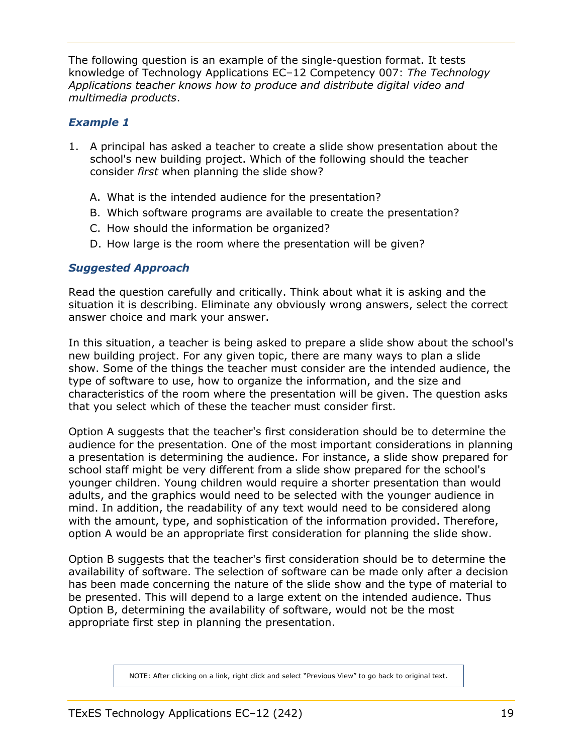The following question is an example of the single-question format. It tests knowledge of Technology Applications EC–12 Competency 007: *The Technology Applications teacher knows how to produce and distribute digital video and multimedia products*.

#### *Example 1*

- 1. A principal has asked a teacher to create a slide show presentation about the school's new building project. Which of the following should the teacher consider *first* when planning the slide show?
	- A. What is the intended audience for the presentation?
	- B. Which software programs are available to create the presentation?
	- C. How should the information be organized?
	- D. How large is the room where the presentation will be given?

#### *Suggested Approach*

Read the question carefully and critically. Think about what it is asking and the situation it is describing. Eliminate any obviously wrong answers, select the correct answer choice and mark your answer.

In this situation, a teacher is being asked to prepare a slide show about the school's new building project. For any given topic, there are many ways to plan a slide show. Some of the things the teacher must consider are the intended audience, the type of software to use, how to organize the information, and the size and characteristics of the room where the presentation will be given. The question asks that you select which of these the teacher must consider first.

Option A suggests that the teacher's first consideration should be to determine the audience for the presentation. One of the most important considerations in planning a presentation is determining the audience. For instance, a slide show prepared for school staff might be very different from a slide show prepared for the school's younger children. Young children would require a shorter presentation than would adults, and the graphics would need to be selected with the younger audience in mind. In addition, the readability of any text would need to be considered along with the amount, type, and sophistication of the information provided. Therefore, option A would be an appropriate first consideration for planning the slide show.

Option B suggests that the teacher's first consideration should be to determine the availability of software. The selection of software can be made only after a decision has been made concerning the nature of the slide show and the type of material to be presented. This will depend to a large extent on the intended audience. Thus Option B, determining the availability of software, would not be the most appropriate first step in planning the presentation.

NOTE: After clicking on a link, right click and select "Previous View" to go back to original text.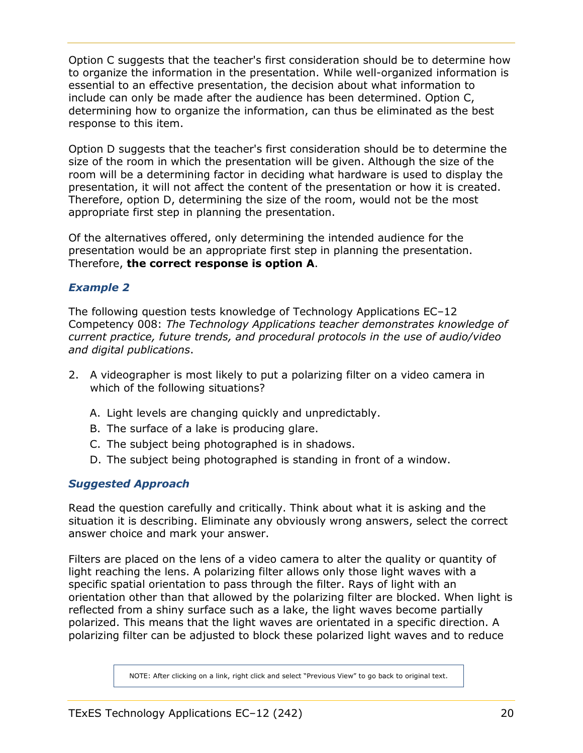Option C suggests that the teacher's first consideration should be to determine how to organize the information in the presentation. While well-organized information is essential to an effective presentation, the decision about what information to include can only be made after the audience has been determined. Option C, determining how to organize the information, can thus be eliminated as the best response to this item.

Option D suggests that the teacher's first consideration should be to determine the size of the room in which the presentation will be given. Although the size of the room will be a determining factor in deciding what hardware is used to display the presentation, it will not affect the content of the presentation or how it is created. Therefore, option D, determining the size of the room, would not be the most appropriate first step in planning the presentation.

Of the alternatives offered, only determining the intended audience for the presentation would be an appropriate first step in planning the presentation. Therefore, **the correct response is option A**.

#### *Example 2*

The following question tests knowledge of Technology Applications EC–12 Competency 008: *The Technology Applications teacher demonstrates knowledge of current practice, future trends, and procedural protocols in the use of audio/video and digital publications*.

- 2. A videographer is most likely to put a polarizing filter on a video camera in which of the following situations?
	- A. Light levels are changing quickly and unpredictably.
	- B. The surface of a lake is producing glare.
	- C. The subject being photographed is in shadows.
	- D. The subject being photographed is standing in front of a window.

#### *Suggested Approach*

Read the question carefully and critically. Think about what it is asking and the situation it is describing. Eliminate any obviously wrong answers, select the correct answer choice and mark your answer.

Filters are placed on the lens of a video camera to alter the quality or quantity of light reaching the lens. A polarizing filter allows only those light waves with a specific spatial orientation to pass through the filter. Rays of light with an orientation other than that allowed by the polarizing filter are blocked. When light is reflected from a shiny surface such as a lake, the light waves become partially polarized. This means that the light waves are orientated in a specific direction. A polarizing filter can be adjusted to block these polarized light waves and to reduce

NOTE: After clicking on a link, right click and select "Previous View" to go back to original text.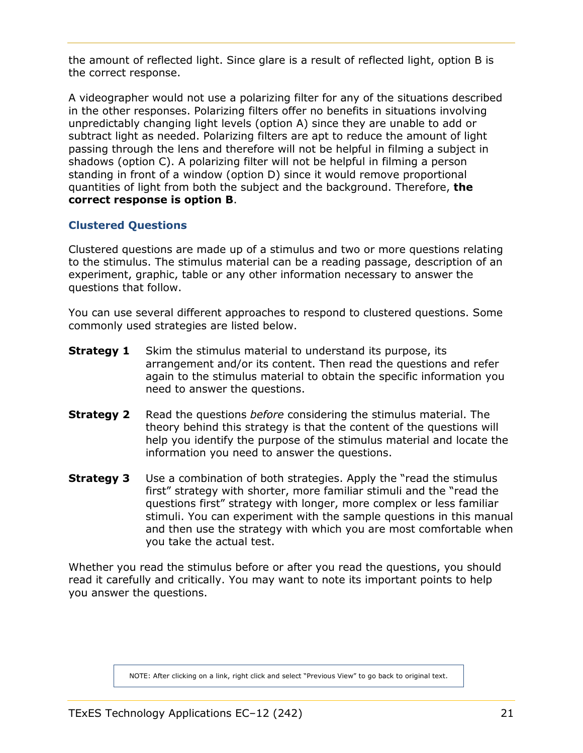<span id="page-20-0"></span>the amount of reflected light. Since glare is a result of reflected light, option B is the correct response.

A videographer would not use a polarizing filter for any of the situations described in the other responses. Polarizing filters offer no benefits in situations involving unpredictably changing light levels (option A) since they are unable to add or subtract light as needed. Polarizing filters are apt to reduce the amount of light passing through the lens and therefore will not be helpful in filming a subject in shadows (option C). A polarizing filter will not be helpful in filming a person standing in front of a window (option D) since it would remove proportional quantities of light from both the subject and the background. Therefore, **the correct response is option B**.

#### **Clustered Questions**

Clustered questions are made up of a stimulus and two or more questions relating to the stimulus. The stimulus material can be a reading passage, description of an experiment, graphic, table or any other information necessary to answer the questions that follow.

You can use several different approaches to respond to clustered questions. Some commonly used strategies are listed below.

- **Strategy 1** Skim the stimulus material to understand its purpose, its arrangement and/or its content. Then read the questions and refer again to the stimulus material to obtain the specific information you need to answer the questions.
- **Strategy 2** Read the questions *before* considering the stimulus material. The theory behind this strategy is that the content of the questions will help you identify the purpose of the stimulus material and locate the information you need to answer the questions.
- **Strategy 3** Use a combination of both strategies. Apply the "read the stimulus first" strategy with shorter, more familiar stimuli and the "read the questions first" strategy with longer, more complex or less familiar stimuli. You can experiment with the sample questions in this manual and then use the strategy with which you are most comfortable when you take the actual test.

Whether you read the stimulus before or after you read the questions, you should read it carefully and critically. You may want to note its important points to help you answer the questions.

NOTE: After clicking on a link, right click and select "Previous View" to go back to original text.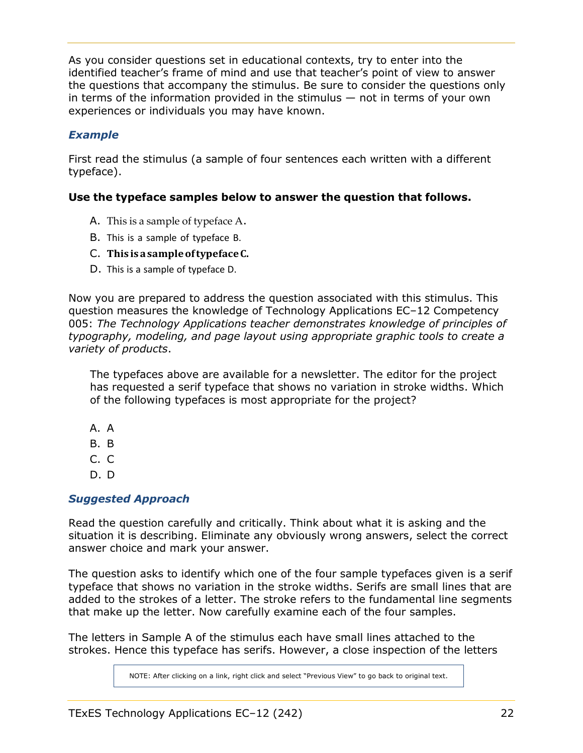As you consider questions set in educational contexts, try to enter into the identified teacher's frame of mind and use that teacher's point of view to answer the questions that accompany the stimulus. Be sure to consider the questions only in terms of the information provided in the stimulus — not in terms of your own experiences or individuals you may have known.

#### *Example*

First read the stimulus (a sample of four sentences each written with a different typeface).

#### **Use the typeface samples below to answer the question that follows.**

- A. This is a sample of typeface A.
- B. This is a sample of typeface B.
- C. **This isasampleoftypefaceC.**
- D. This is a sample of typeface D.

Now you are prepared to address the question associated with this stimulus. This question measures the knowledge of Technology Applications EC–12 Competency 005: *The Technology Applications teacher demonstrates knowledge of principles of typography, modeling, and page layout using appropriate graphic tools to create a variety of products*.

The typefaces above are available for a newsletter. The editor for the project has requested a serif typeface that shows no variation in stroke widths. Which of the following typefaces is most appropriate for the project?

- A. A
- B. B
- C. C
- D. D

#### *Suggested Approach*

Read the question carefully and critically. Think about what it is asking and the situation it is describing. Eliminate any obviously wrong answers, select the correct answer choice and mark your answer.

The question asks to identify which one of the four sample typefaces given is a serif typeface that shows no variation in the stroke widths. Serifs are small lines that are added to the strokes of a letter. The stroke refers to the fundamental line segments that make up the letter. Now carefully examine each of the four samples.

The letters in Sample A of the stimulus each have small lines attached to the strokes. Hence this typeface has serifs. However, a close inspection of the letters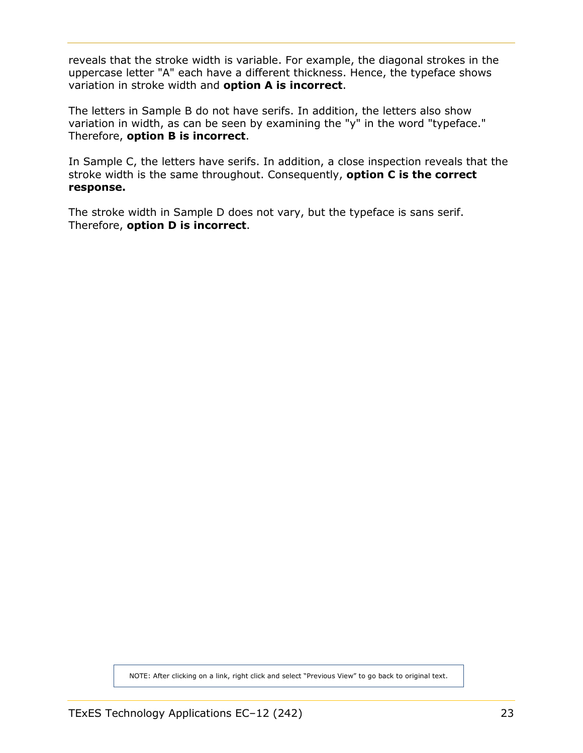reveals that the stroke width is variable. For example, the diagonal strokes in the uppercase letter "A" each have a different thickness. Hence, the typeface shows variation in stroke width and **option A is incorrect**.

The letters in Sample B do not have serifs. In addition, the letters also show variation in width, as can be seen by examining the "y" in the word "typeface." Therefore, **option B is incorrect**.

In Sample C, the letters have serifs. In addition, a close inspection reveals that the stroke width is the same throughout. Consequently, **option C is the correct response.**

The stroke width in Sample D does not vary, but the typeface is sans serif. Therefore, **option D is incorrect**.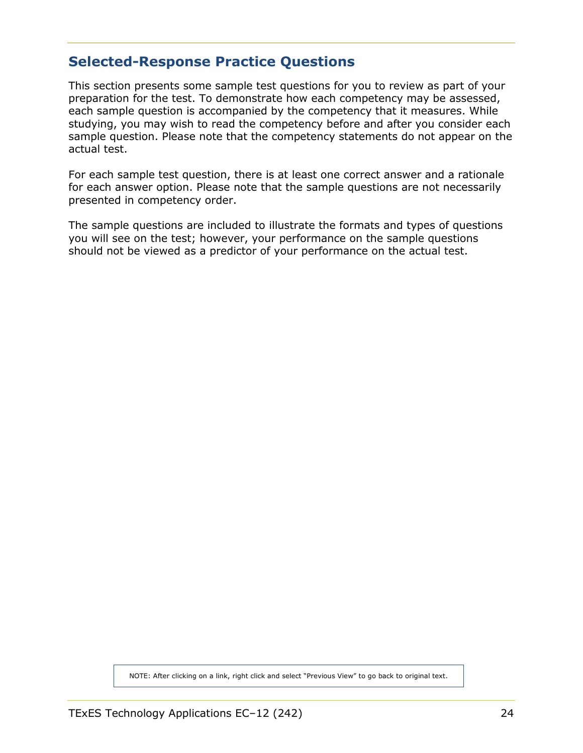### <span id="page-23-0"></span>**Selected-Response Practice Questions**

This section presents some sample test questions for you to review as part of your preparation for the test. To demonstrate how each competency may be assessed, each sample question is accompanied by the competency that it measures. While studying, you may wish to read the competency before and after you consider each sample question. Please note that the competency statements do not appear on the actual test.

For each sample test question, there is at least one correct answer and a rationale for each answer option. Please note that the sample questions are not necessarily presented in competency order.

The sample questions are included to illustrate the formats and types of questions you will see on the test; however, your performance on the sample questions should not be viewed as a predictor of your performance on the actual test.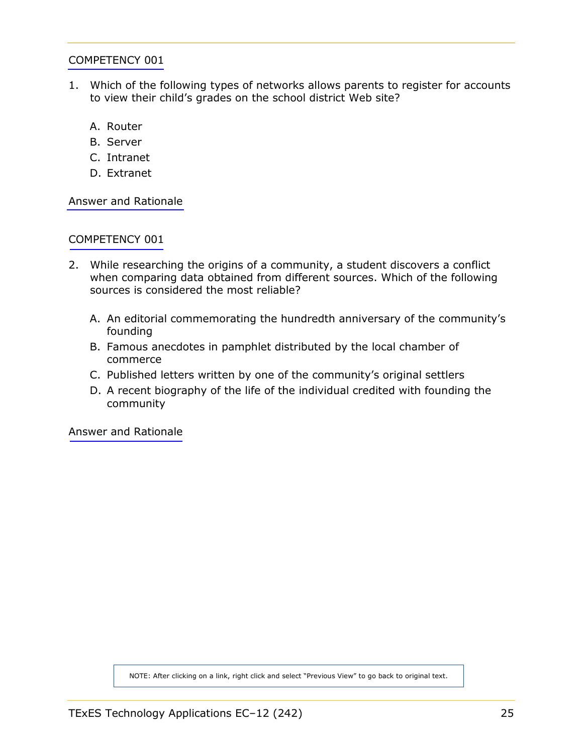- 1. Which of the following types of networks allows parents to register for accounts to view their child's grades on the school district Web site?
	- A. Router
	- B. Server
	- C. Intranet
	- D. Extranet

[Answer and Rationale](#page-44-0)

#### [COMPETENCY 001](#page-6-0)

- 2. While researching the origins of a community, a student discovers a conflict when comparing data obtained from different sources. Which of the following sources is considered the most reliable?
	- A. An editorial commemorating the hundredth anniversary of the community's founding
	- B. Famous anecdotes in pamphlet distributed by the local chamber of commerce
	- C. Published letters written by one of the community's original settlers
	- D. A recent biography of the life of the individual credited with founding the community

[Answer and Rationale](#page-44-0)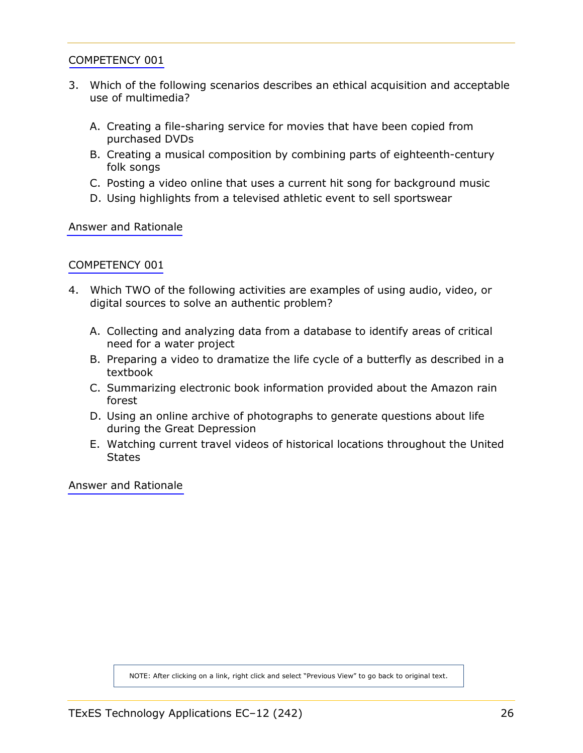- 3. Which of the following scenarios describes an ethical acquisition and acceptable use of multimedia?
	- A. Creating a file-sharing service for movies that have been copied from purchased DVDs
	- B. Creating a musical composition by combining parts of eighteenth-century folk songs
	- C. Posting a video online that uses a current hit song for background music
	- D. Using highlights from a televised athletic event to sell sportswear

[Answer and Rationale](#page-45-0)

#### [COMPETENCY 001](#page-6-0)

- 4. Which TWO of the following activities are examples of using audio, video, or digital sources to solve an authentic problem?
	- A. Collecting and analyzing data from a database to identify areas of critical need for a water project
	- B. Preparing a video to dramatize the life cycle of a butterfly as described in a textbook
	- C. Summarizing electronic book information provided about the Amazon rain forest
	- D. Using an online archive of photographs to generate questions about life during the Great Depression
	- E. Watching current travel videos of historical locations throughout the United **States**

[Answer and Rationale](#page-45-0)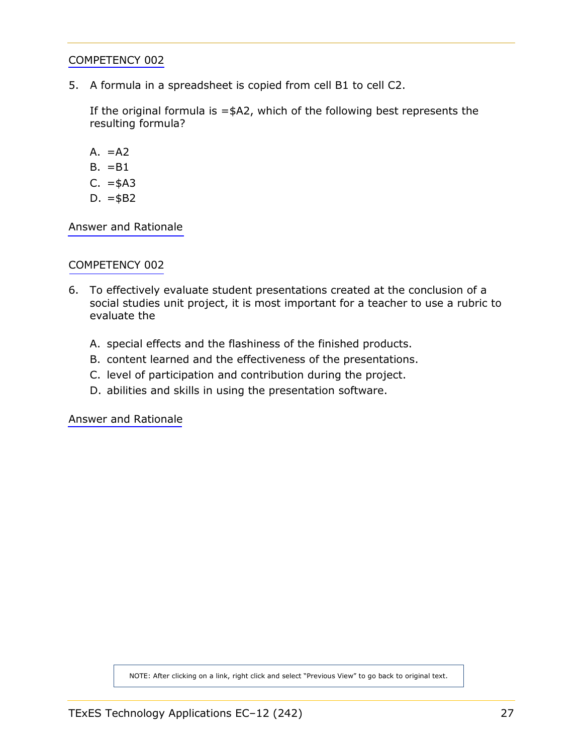5. A formula in a spreadsheet is copied from cell B1 to cell C2.

If the original formula is  $=\frac{4}{2}$ , which of the following best represents the resulting formula?

- $A. = A2$
- $B. = B1$
- $C. = $A3$
- D.  $= $B2$

[Answer and Rationale](#page-46-0)

#### [COMPETENCY 002](#page-7-0)

- 6. To effectively evaluate student presentations created at the conclusion of a social studies unit project, it is most important for a teacher to use a rubric to evaluate the
	- A. special effects and the flashiness of the finished products.
	- B. content learned and the effectiveness of the presentations.
	- C. level of participation and contribution during the project.
	- D. abilities and skills in using the presentation software.

[Answer and Rationale](#page-47-0)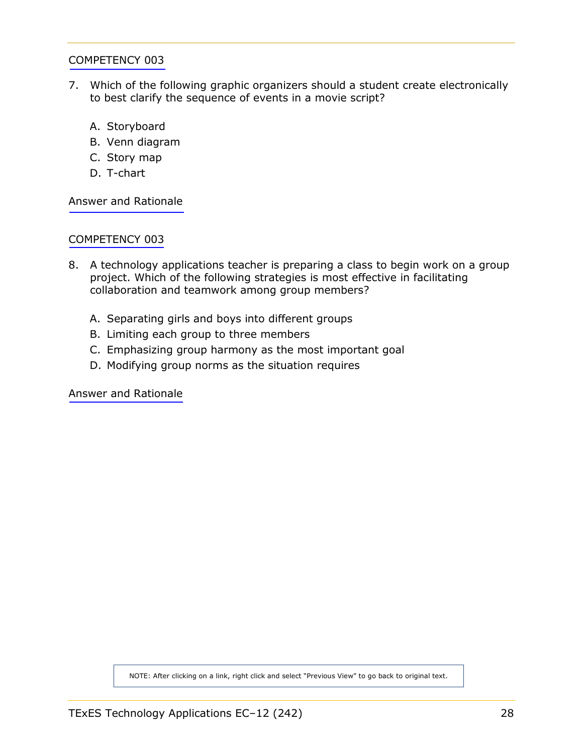- 7. Which of the following graphic organizers should a student create electronically to best clarify the sequence of events in a movie script?
	- A. Storyboard
	- B. Venn diagram
	- C. Story map
	- D. T-chart

[Answer and Rationale](#page-47-0)

#### [COMPETENCY 003](#page-8-0)

- 8. A technology applications teacher is preparing a class to begin work on a group project. Which of the following strategies is most effective in facilitating collaboration and teamwork among group members?
	- A. Separating girls and boys into different groups
	- B. Limiting each group to three members
	- C. Emphasizing group harmony as the most important goal
	- D. Modifying group norms as the situation requires

[Answer and Rationale](#page-48-0)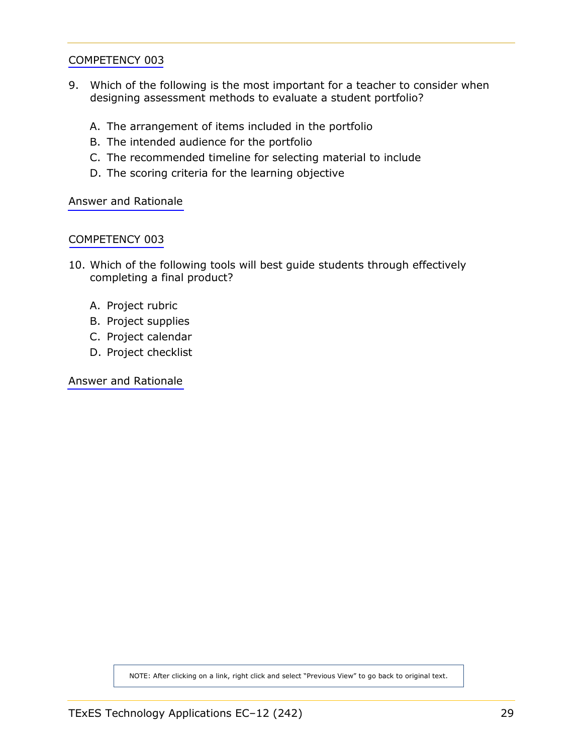- 9. Which of the following is the most important for a teacher to consider when designing assessment methods to evaluate a student portfolio?
	- A. The arrangement of items included in the portfolio
	- B. The intended audience for the portfolio
	- C. The recommended timeline for selecting material to include
	- D. The scoring criteria for the learning objective

[Answer and Rationale](#page-48-0)

#### [COMPETENCY 003](#page-8-0)

- 10. Which of the following tools will best guide students through effectively completing a final product?
	- A. Project rubric
	- B. Project supplies
	- C. Project calendar
	- D. Project checklist

[Answer and Rationale](#page-49-0)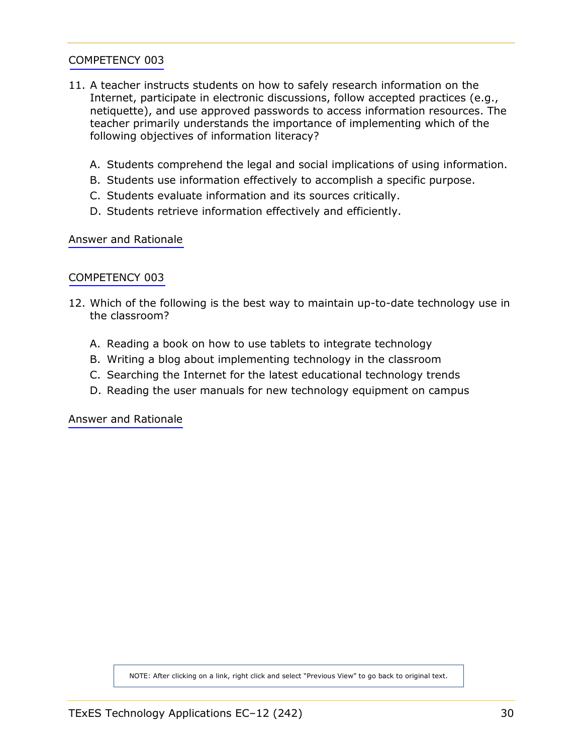- 11. A teacher instructs students on how to safely research information on the Internet, participate in electronic discussions, follow accepted practices (e.g., netiquette), and use approved passwords to access information resources. The teacher primarily understands the importance of implementing which of the following objectives of information literacy?
	- A. Students comprehend the legal and social implications of using information.
	- B. Students use information effectively to accomplish a specific purpose.
	- C. Students evaluate information and its sources critically.
	- D. Students retrieve information effectively and efficiently.

[Answer and Rationale](#page-49-0)

#### [COMPETENCY 003](#page-8-0)

- 12. Which of the following is the best way to maintain up-to-date technology use in the classroom?
	- A. Reading a book on how to use tablets to integrate technology
	- B. Writing a blog about implementing technology in the classroom
	- C. Searching the Internet for the latest educational technology trends
	- D. Reading the user manuals for new technology equipment on campus

[Answer and Rationale](#page-50-0)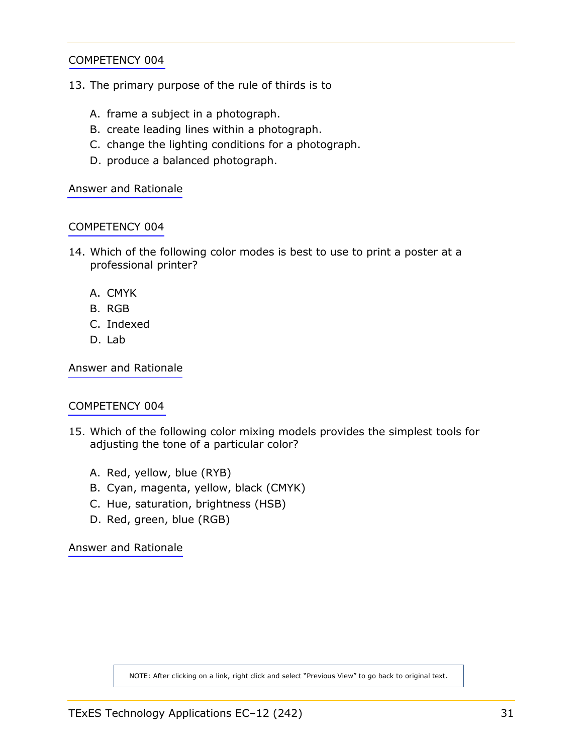- 13. The primary purpose of the rule of thirds is to
	- A. frame a subject in a photograph.
	- B. create leading lines within a photograph.
	- C. change the lighting conditions for a photograph.
	- D. produce a balanced photograph.

[Answer and Rationale](#page-50-0)

#### [COMPETENCY 004](#page-8-0)

- 14. Which of the following color modes is best to use to print a poster at a professional printer?
	- A. CMYK
	- B. RGB
	- C. Indexed
	- D. Lab

[Answer and Rationale](#page-51-0)

#### [COMPETENCY 004](#page-8-0)

- 15. Which of the following color mixing models provides the simplest tools for adjusting the tone of a particular color?
	- A. Red, yellow, blue (RYB)
	- B. Cyan, magenta, yellow, black (CMYK)
	- C. Hue, saturation, brightness (HSB)
	- D. Red, green, blue (RGB)

[Answer and Rationale](#page-51-0)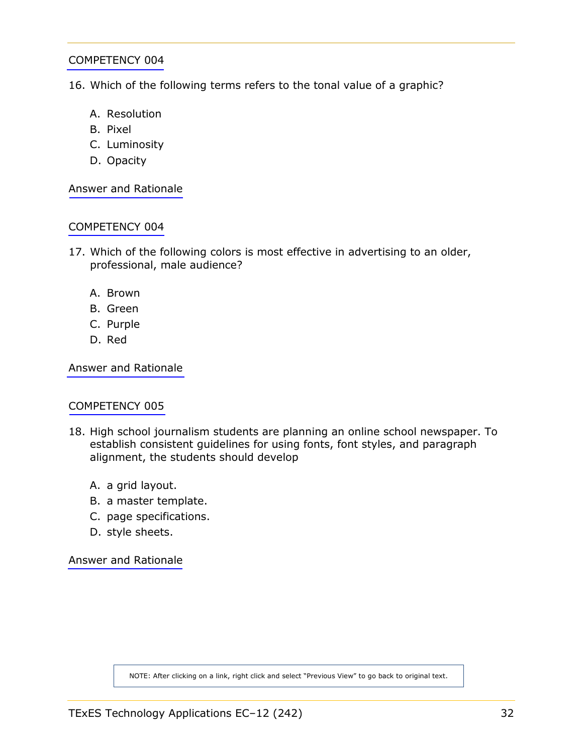16. Which of the following terms refers to the tonal value of a graphic?

- A. Resolution
- B. Pixel
- C. Luminosity
- D. Opacity

[Answer and Rationale](#page-52-0)

#### [COMPETENCY 004](#page-8-0)

- 17. Which of the following colors is most effective in advertising to an older, professional, male audience?
	- A. Brown
	- B. Green
	- C. Purple
	- D. Red

[Answer and Rationale](#page-52-0)

#### [COMPETENCY 005](#page-9-0)

- 18. High school journalism students are planning an online school newspaper. To establish consistent guidelines for using fonts, font styles, and paragraph alignment, the students should develop
	- A. a grid layout.
	- B. a master template.
	- C. page specifications.
	- D. style sheets.

[Answer and Rationale](#page-53-0)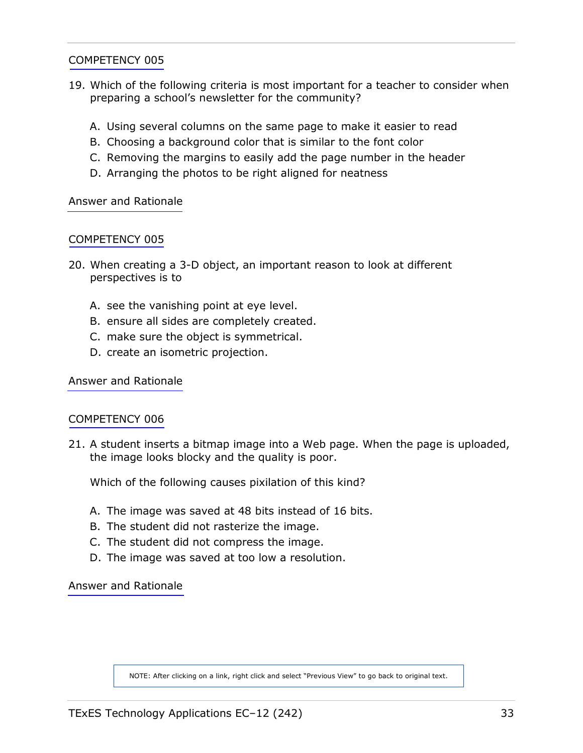- 19. Which of the following criteria is most important for a teacher to consider when preparing a school's newsletter for the community?
	- A. Using several columns on the same page to make it easier to read
	- B. Choosing a background color that is similar to the font color
	- C. Removing the margins to easily add the page number in the header
	- D. Arranging the photos to be right aligned for neatness

[Answer and Rationale](#page-53-0)

#### [COMPETENCY 005](#page-9-0)

- 20. When creating a 3-D object, an important reason to look at different perspectives is to
	- A. see the vanishing point at eye level.
	- B. ensure all sides are completely created.
	- C. make sure the object is symmetrical.
	- D. create an isometric projection.

[Answer and Rationale](#page-54-0)

#### [COMPETENCY 006](#page-10-0)

21. A student inserts a bitmap image into a Web page. When the page is uploaded, the image looks blocky and the quality is poor.

Which of the following causes pixilation of this kind?

- A. The image was saved at 48 bits instead of 16 bits.
- B. The student did not rasterize the image.
- C. The student did not compress the image.
- D. The image was saved at too low a resolution.

[Answer and Rationale](#page-54-0)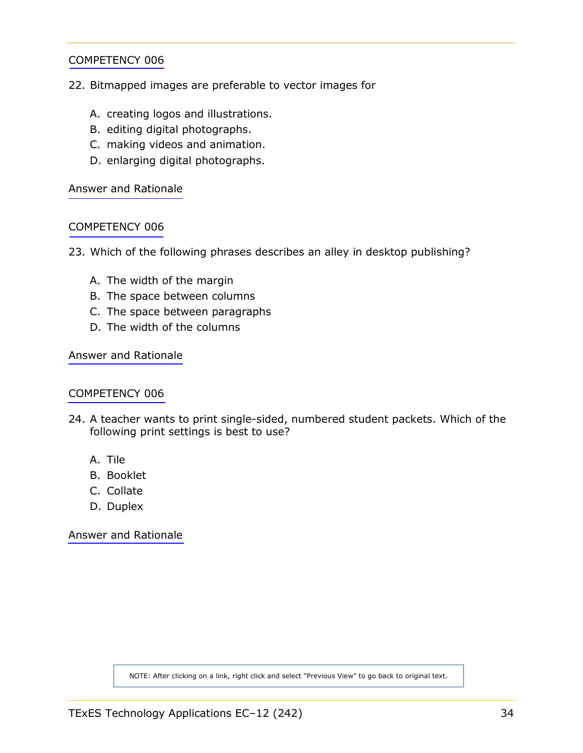- 22. Bitmapped images are preferable to vector images for
	- A. creating logos and illustrations.
	- B. editing digital photographs.
	- C. making videos and animation.
	- D. enlarging digital photographs.

[Answer and Rationale](#page-55-0)

#### [COMPETENCY 006](#page-10-0)

- 23. Which of the following phrases describes an alley in desktop publishing?
	- A. The width of the margin
	- B. The space between columns
	- C. The space between paragraphs
	- D. The width of the columns

[Answer and Rationale](#page-55-0)

#### [COMPETENCY 006](#page-10-0)

- 24. A teacher wants to print single-sided, numbered student packets. Which of the following print settings is best to use?
	- A. Tile
	- B. Booklet
	- C. Collate
	- D. Duplex

[Answer and Rationale](#page-56-0)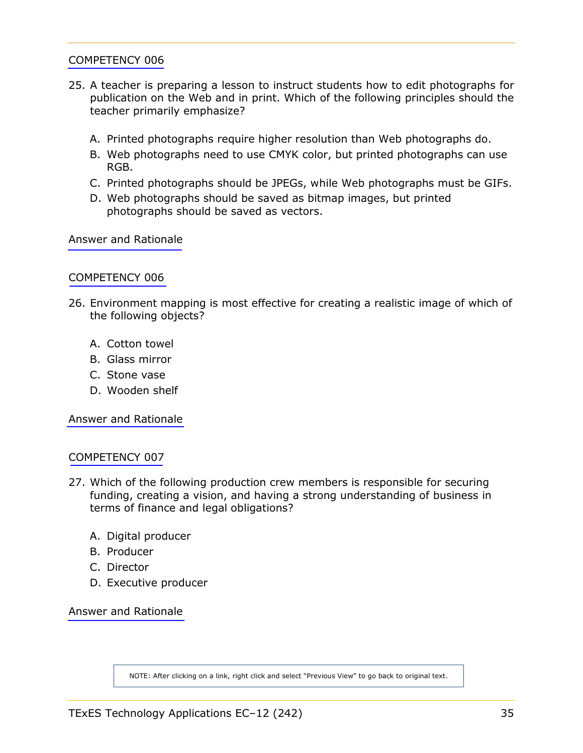- 25. A teacher is preparing a lesson to instruct students how to edit photographs for publication on the Web and in print. Which of the following principles should the teacher primarily emphasize?
	- A. Printed photographs require higher resolution than Web photographs do.
	- B. Web photographs need to use CMYK color, but printed photographs can use RGB.
	- C. Printed photographs should be JPEGs, while Web photographs must be GIFs.
	- D. Web photographs should be saved as bitmap images, but printed photographs should be saved as vectors.

[Answer and Rationale](#page-56-0)

#### [COMPETENCY 006](#page-10-0)

- 26. Environment mapping is most effective for creating a realistic image of which of the following objects?
	- A. Cotton towel
	- B. Glass mirror
	- C. Stone vase
	- D. Wooden shelf

[Answer and Rationale](#page-57-0)

#### [COMPETENCY 007](#page-11-0)

- 27. Which of the following production crew members is responsible for securing funding, creating a vision, and having a strong understanding of business in terms of finance and legal obligations?
	- A. Digital producer
	- B. Producer
	- C. Director
	- D. Executive producer

[Answer and Rationale](#page-58-0)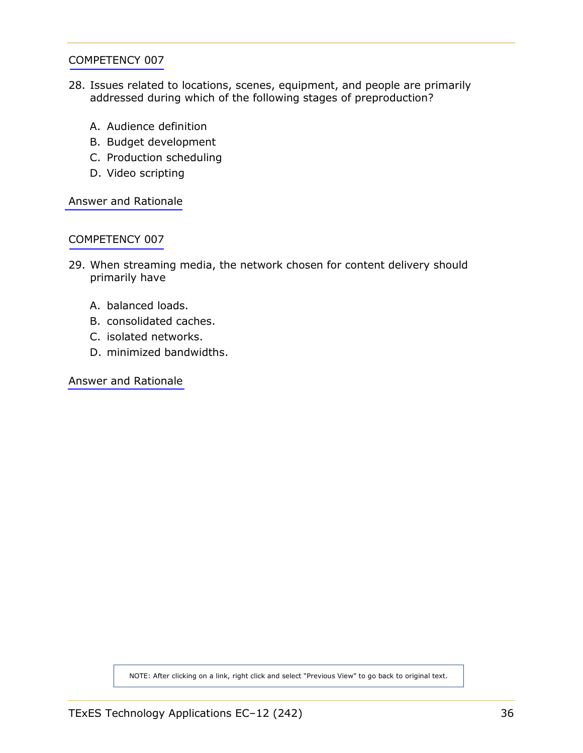- 28. Issues related to locations, scenes, equipment, and people are primarily addressed during which of the following stages of preproduction?
	- A. Audience definition
	- B. Budget development
	- C. Production scheduling
	- D. Video scripting

[Answer and Rationale](#page-59-0)

#### [COMPETENCY 007](#page-11-0)

- 29. When streaming media, the network chosen for content delivery should primarily have
	- A. balanced loads.
	- B. consolidated caches.
	- C. isolated networks.
	- D. minimized bandwidths.

[Answer and Rationale](#page-59-0)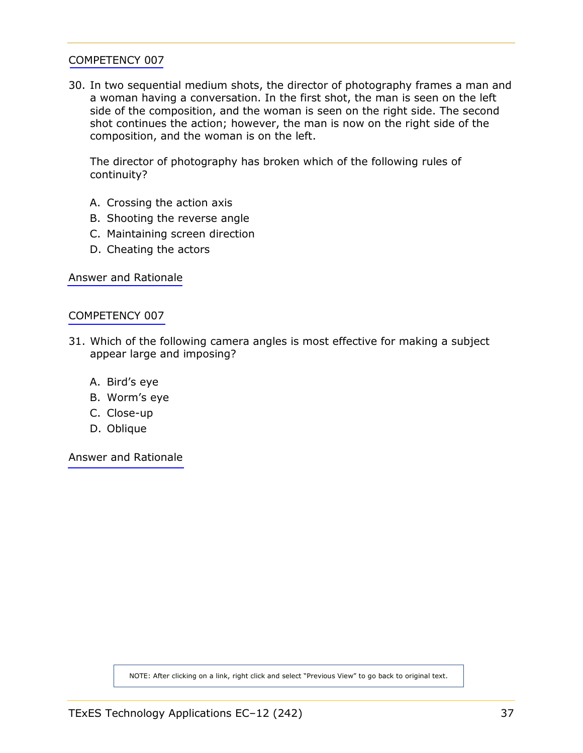<span id="page-36-0"></span>30. In two sequential medium shots, the director of photography frames a man and a woman having a conversation. In the first shot, the man is seen on the left side of the composition, and the woman is seen on the right side. The second shot continues the action; however, the man is now on the right side of the composition, and the woman is on the left.

The director of photography has broken which of the following rules of continuity?

- A. Crossing the action axis
- B. Shooting the reverse angle
- C. Maintaining screen direction
- D. Cheating the actors

[Answer and Rationale](#page-60-0)

#### [COMPETENCY 007](#page-11-0)

- 31. Which of the following camera angles is most effective for making a subject appear large and imposing?
	- A. Bird's eye
	- B. Worm's eye
	- C. Close-up
	- D. Oblique

[Answer and Rationale](#page-61-0)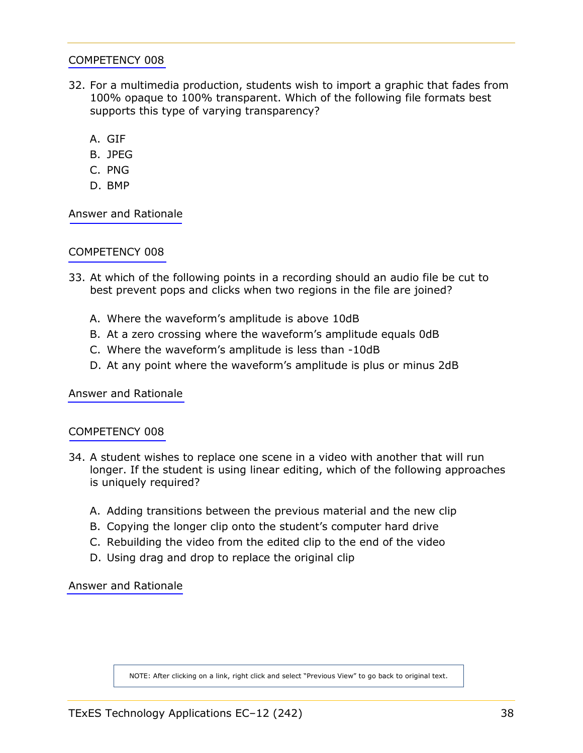- <span id="page-37-0"></span>32. For a multimedia production, students wish to import a graphic that fades from 100% opaque to 100% transparent. Which of the following file formats best supports this type of varying transparency?
	- A. GIF
	- B. JPEG
	- C. PNG
	- D. BMP

[Answer and Rationale](#page-61-0)

# [COMPETENCY 008](#page-11-0)

- 33. At which of the following points in a recording should an audio file be cut to best prevent pops and clicks when two regions in the file are joined?
	- A. Where the waveform's amplitude is above 10dB
	- B. At a zero crossing where the waveform's amplitude equals 0dB
	- C. Where the waveform's amplitude is less than -10dB
	- D. At any point where the waveform's amplitude is plus or minus 2dB

[Answer and Rationale](#page-62-0)

# [COMPETENCY 008](#page-11-0)

- 34. A student wishes to replace one scene in a video with another that will run longer. If the student is using linear editing, which of the following approaches is uniquely required?
	- A. Adding transitions between the previous material and the new clip
	- B. Copying the longer clip onto the student's computer hard drive
	- C. Rebuilding the video from the edited clip to the end of the video
	- D. Using drag and drop to replace the original clip

[Answer and Rationale](#page-62-0)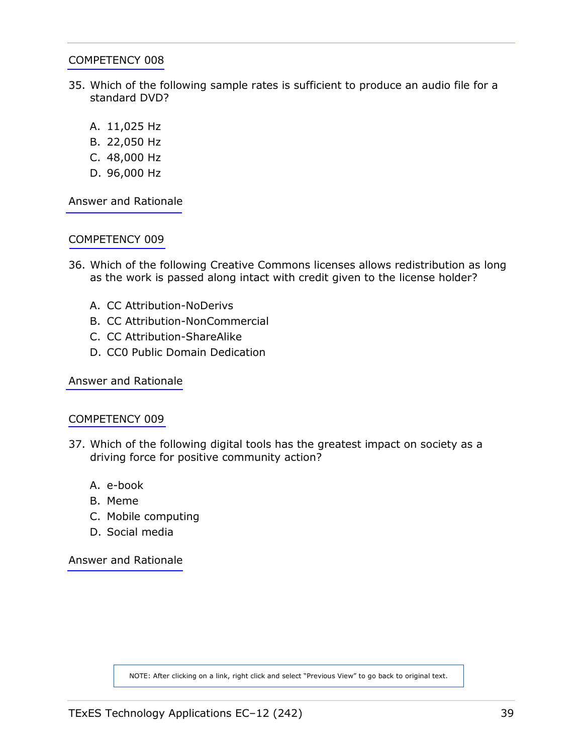- <span id="page-38-0"></span>35. Which of the following sample rates is sufficient to produce an audio file for a standard DVD?
	- A. 11,025 Hz
	- B. 22,050 Hz
	- C. 48,000 Hz
	- D. 96,000 Hz

[Answer and Rationale](#page-63-0)

## [COMPETENCY 009](#page-12-0)

- 36. Which of the following Creative Commons licenses allows redistribution as long as the work is passed along intact with credit given to the license holder?
	- A. CC Attribution-NoDerivs
	- B. CC Attribution-NonCommercial
	- C. CC Attribution-ShareAlike
	- D. CC0 Public Domain Dedication

[Answer and Rationale](#page-64-0)

#### [COMPETENCY 009](#page-12-0)

- 37. Which of the following digital tools has the greatest impact on society as a driving force for positive community action?
	- A. e-book
	- B. Meme
	- C. Mobile computing
	- D. Social media

[Answer and Rationale](#page-65-0)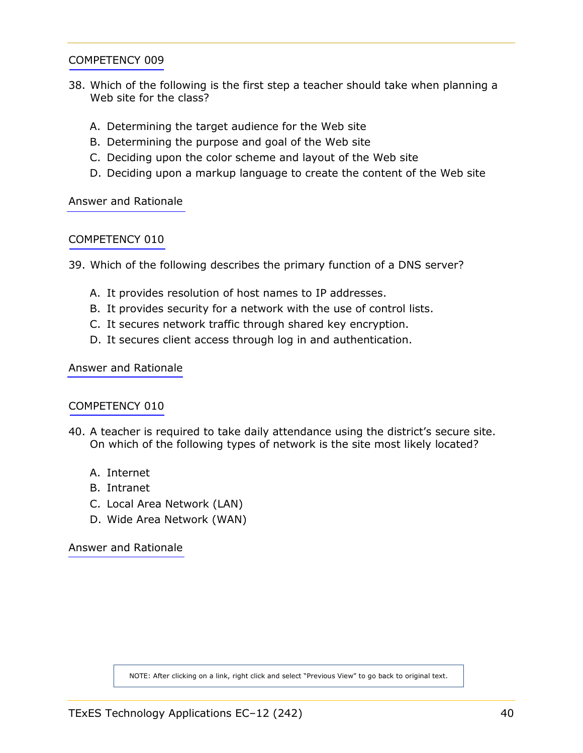- <span id="page-39-0"></span>38. Which of the following is the first step a teacher should take when planning a Web site for the class?
	- A. Determining the target audience for the Web site
	- B. Determining the purpose and goal of the Web site
	- C. Deciding upon the color scheme and layout of the Web site
	- D. Deciding upon a markup language to create the content of the Web site

[Answer and Rationale](#page-66-0)

## [COMPETENCY 010](#page-13-0)

39. Which of the following describes the primary function of a DNS server?

- A. It provides resolution of host names to IP addresses.
- B. It provides security for a network with the use of control lists.
- C. It secures network traffic through shared key encryption.
- D. It secures client access through log in and authentication.

[Answer and Rationale](#page-67-0)

# [COMPETENCY 010](#page-13-0)

- 40. A teacher is required to take daily attendance using the district's secure site. On which of the following types of network is the site most likely located?
	- A. Internet
	- B. Intranet
	- C. Local Area Network (LAN)
	- D. Wide Area Network (WAN)

[Answer and Rationale](#page-68-0)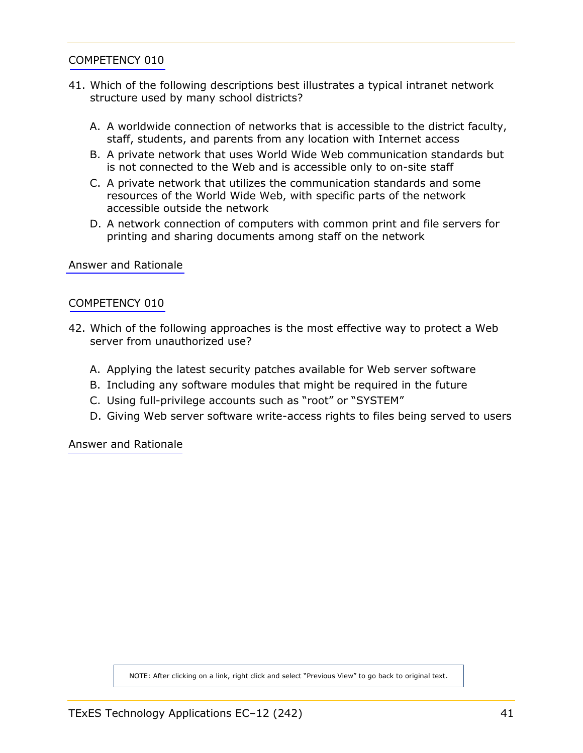- <span id="page-40-0"></span>41. Which of the following descriptions best illustrates a typical intranet network structure used by many school districts?
	- A. A worldwide connection of networks that is accessible to the district faculty, staff, students, and parents from any location with Internet access
	- B. A private network that uses World Wide Web communication standards but is not connected to the Web and is accessible only to on-site staff
	- C. A private network that utilizes the communication standards and some resources of the World Wide Web, with specific parts of the network accessible outside the network
	- D. A network connection of computers with common print and file servers for printing and sharing documents among staff on the network

[Answer and Rationale](#page-68-0)

#### [COMPETENCY 010](#page-13-0)

- 42. Which of the following approaches is the most effective way to protect a Web server from unauthorized use?
	- A. Applying the latest security patches available for Web server software
	- B. Including any software modules that might be required in the future
	- C. Using full-privilege accounts such as "root" or "SYSTEM"
	- D. Giving Web server software write-access rights to files being served to users

[Answer and Rationale](#page-69-0)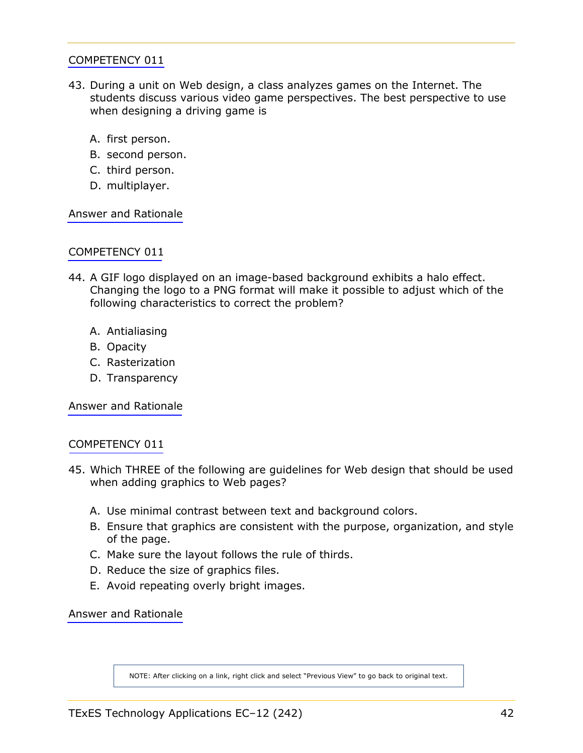- <span id="page-41-0"></span>43. During a unit on Web design, a class analyzes games on the Internet. The students discuss various video game perspectives. The best perspective to use when designing a driving game is
	- A. first person.
	- B. second person.
	- C. third person.
	- D. multiplayer.

[Answer and Rationale](#page-69-0)

## [COMPETENCY 011](#page-14-0)

- 44. A GIF logo displayed on an image-based background exhibits a halo effect. Changing the logo to a PNG format will make it possible to adjust which of the following characteristics to correct the problem?
	- A. Antialiasing
	- B. Opacity
	- C. Rasterization
	- D. Transparency

[Answer and Rationale](#page-70-0)

## [COMPETENCY 011](#page-14-0)

- 45. Which THREE of the following are guidelines for Web design that should be used when adding graphics to Web pages?
	- A. Use minimal contrast between text and background colors.
	- B. Ensure that graphics are consistent with the purpose, organization, and style of the page.
	- C. Make sure the layout follows the rule of thirds.
	- D. Reduce the size of graphics files.
	- E. Avoid repeating overly bright images.

[Answer and Rationale](#page-71-0)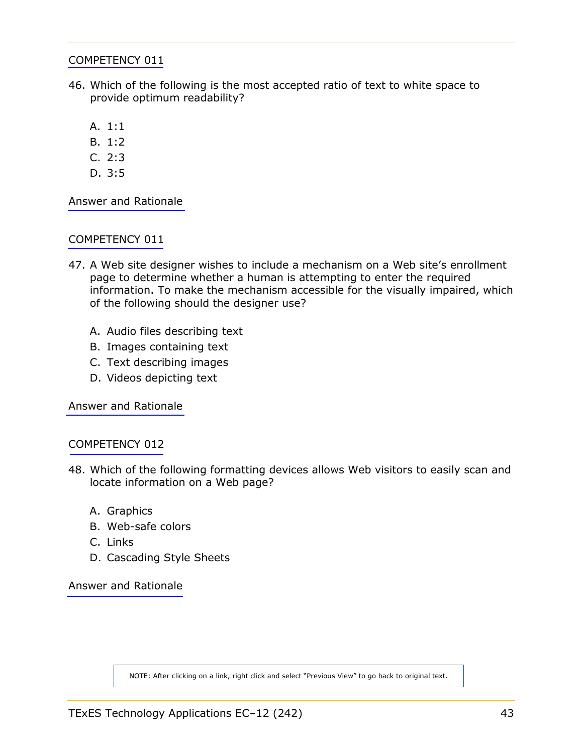- <span id="page-42-0"></span>46. Which of the following is the most accepted ratio of text to white space to provide optimum readability?
	- A. 1:1
	- B. 1:2
	- C. 2:3
	- D. 3:5

[Answer and Rationale](#page-71-0)

## [COMPETENCY 011](#page-14-0)

- 47. A Web site designer wishes to include a mechanism on a Web site's enrollment page to determine whether a human is attempting to enter the required information. To make the mechanism accessible for the visually impaired, which of the following should the designer use?
	- A. Audio files describing text
	- B. Images containing text
	- C. Text describing images
	- D. Videos depicting text

[Answer and Rationale](#page-72-0)

# [COMPETENCY 012](#page-15-0)

- 48. Which of the following formatting devices allows Web visitors to easily scan and locate information on a Web page?
	- A. Graphics
	- B. Web-safe colors
	- C. Links
	- D. Cascading Style Sheets

[Answer and Rationale](#page-73-0)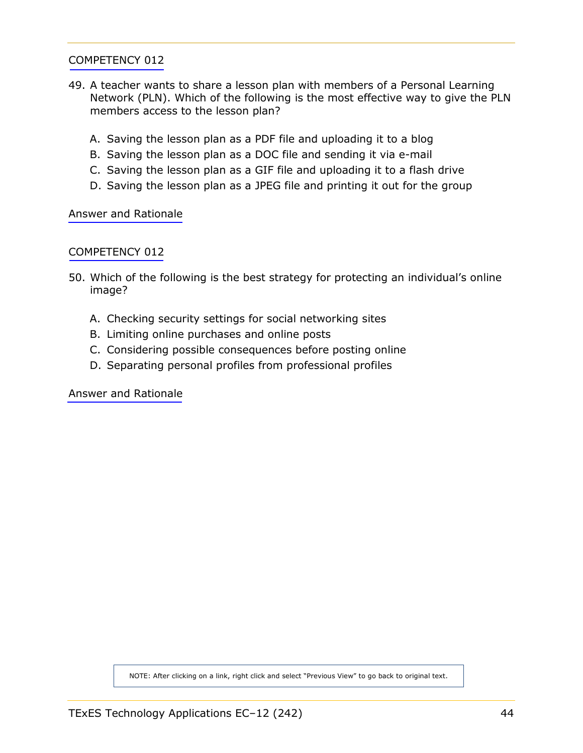- 49. A teacher wants to share a lesson plan with members of a Personal Learning Network (PLN). Which of the following is the most effective way to give the PLN members access to the lesson plan?
	- A. Saving the lesson plan as a PDF file and uploading it to a blog
	- B. Saving the lesson plan as a DOC file and sending it via e-mail
	- C. Saving the lesson plan as a GIF file and uploading it to a flash drive
	- D. Saving the lesson plan as a JPEG file and printing it out for the group

[Answer and Rationale](#page-74-0)

#### [COMPETENCY 012](#page-15-0)

- 50. Which of the following is the best strategy for protecting an individual's online image?
	- A. Checking security settings for social networking sites
	- B. Limiting online purchases and online posts
	- C. Considering possible consequences before posting online
	- D. Separating personal profiles from professional profiles

[Answer and Rationale](#page-74-0)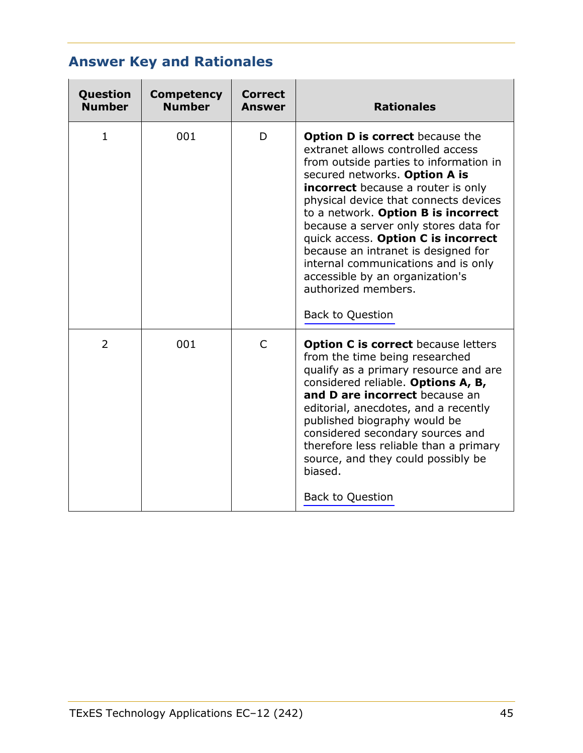# **Answer Key and Rationales**

| Question<br><b>Number</b> | <b>Competency</b><br><b>Number</b> | <b>Correct</b><br><b>Answer</b> | <b>Rationales</b>                                                                                                                                                                                                                                                                                                                                                                                                                                                                                                                      |
|---------------------------|------------------------------------|---------------------------------|----------------------------------------------------------------------------------------------------------------------------------------------------------------------------------------------------------------------------------------------------------------------------------------------------------------------------------------------------------------------------------------------------------------------------------------------------------------------------------------------------------------------------------------|
| 1                         | 001                                | D                               | <b>Option D is correct</b> because the<br>extranet allows controlled access<br>from outside parties to information in<br>secured networks. Option A is<br><b>incorrect</b> because a router is only<br>physical device that connects devices<br>to a network. Option B is incorrect<br>because a server only stores data for<br>quick access. Option C is incorrect<br>because an intranet is designed for<br>internal communications and is only<br>accessible by an organization's<br>authorized members.<br><b>Back to Question</b> |
| $\overline{2}$            | 001                                | $\mathsf{C}$                    | <b>Option C is correct</b> because letters<br>from the time being researched<br>qualify as a primary resource and are<br>considered reliable. Options A, B,<br>and D are incorrect because an<br>editorial, anecdotes, and a recently<br>published biography would be<br>considered secondary sources and<br>therefore less reliable than a primary<br>source, and they could possibly be<br>biased.<br><b>Back to Question</b>                                                                                                        |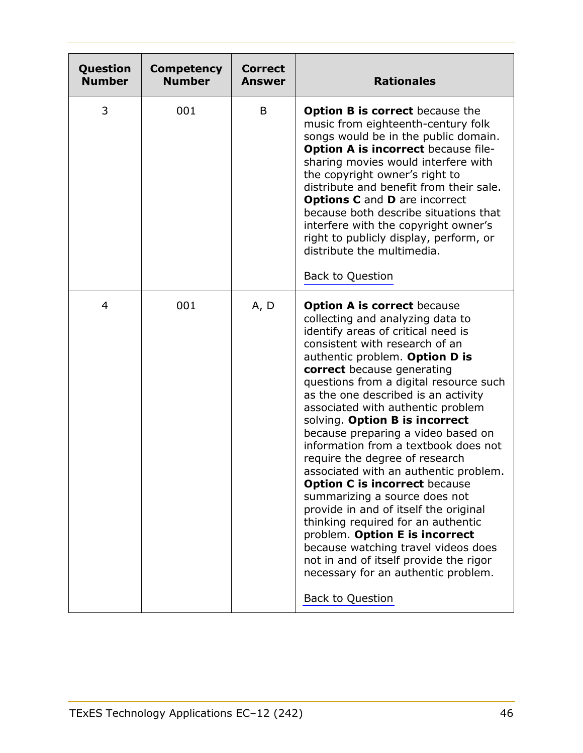| Question<br><b>Number</b> | <b>Competency</b><br><b>Number</b> | <b>Correct</b><br><b>Answer</b> | <b>Rationales</b>                                                                                                                                                                                                                                                                                                                                                                                                                                                                                                                                                                                                                                                                                                                                                                                                                                                     |
|---------------------------|------------------------------------|---------------------------------|-----------------------------------------------------------------------------------------------------------------------------------------------------------------------------------------------------------------------------------------------------------------------------------------------------------------------------------------------------------------------------------------------------------------------------------------------------------------------------------------------------------------------------------------------------------------------------------------------------------------------------------------------------------------------------------------------------------------------------------------------------------------------------------------------------------------------------------------------------------------------|
| 3                         | 001                                | B                               | <b>Option B is correct</b> because the<br>music from eighteenth-century folk<br>songs would be in the public domain.<br><b>Option A is incorrect because file-</b><br>sharing movies would interfere with<br>the copyright owner's right to<br>distribute and benefit from their sale.<br><b>Options C</b> and <b>D</b> are incorrect<br>because both describe situations that<br>interfere with the copyright owner's<br>right to publicly display, perform, or<br>distribute the multimedia.<br><b>Back to Question</b>                                                                                                                                                                                                                                                                                                                                             |
| 4                         | 001                                | A, D                            | <b>Option A is correct because</b><br>collecting and analyzing data to<br>identify areas of critical need is<br>consistent with research of an<br>authentic problem. Option D is<br>correct because generating<br>questions from a digital resource such<br>as the one described is an activity<br>associated with authentic problem<br>solving. Option B is incorrect<br>because preparing a video based on<br>information from a textbook does not<br>require the degree of research<br>associated with an authentic problem.<br><b>Option C is incorrect because</b><br>summarizing a source does not<br>provide in and of itself the original<br>thinking required for an authentic<br>problem. Option E is incorrect<br>because watching travel videos does<br>not in and of itself provide the rigor<br>necessary for an authentic problem.<br>Back to Question |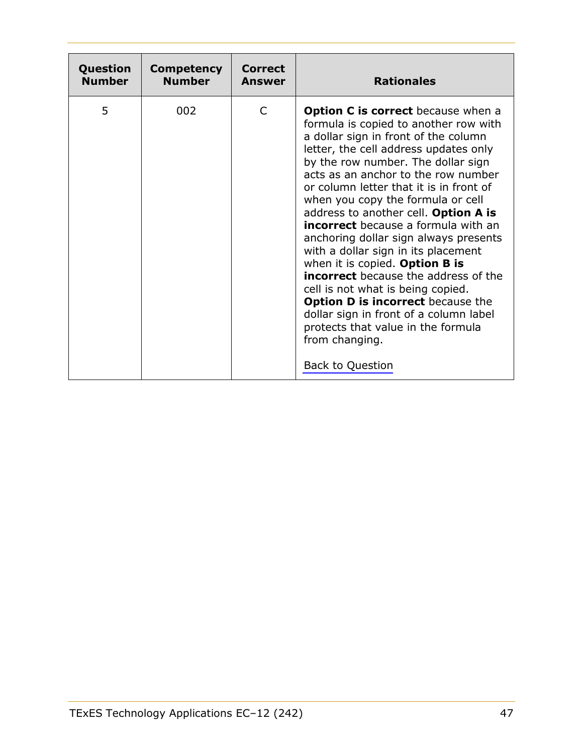| Question      | <b>Competency</b> | <b>Correct</b> | <b>Rationales</b>                                                                                                                                                                                                                                                                                                                                                                                                                                                                                                                                                                                                                                                                                                                                                                                     |
|---------------|-------------------|----------------|-------------------------------------------------------------------------------------------------------------------------------------------------------------------------------------------------------------------------------------------------------------------------------------------------------------------------------------------------------------------------------------------------------------------------------------------------------------------------------------------------------------------------------------------------------------------------------------------------------------------------------------------------------------------------------------------------------------------------------------------------------------------------------------------------------|
| <b>Number</b> | <b>Number</b>     | Answer         |                                                                                                                                                                                                                                                                                                                                                                                                                                                                                                                                                                                                                                                                                                                                                                                                       |
| 5             | 002               | C              | <b>Option C is correct</b> because when a<br>formula is copied to another row with<br>a dollar sign in front of the column<br>letter, the cell address updates only<br>by the row number. The dollar sign<br>acts as an anchor to the row number<br>or column letter that it is in front of<br>when you copy the formula or cell<br>address to another cell. Option A is<br><b>incorrect</b> because a formula with an<br>anchoring dollar sign always presents<br>with a dollar sign in its placement<br>when it is copied. Option B is<br><b>incorrect</b> because the address of the<br>cell is not what is being copied.<br><b>Option D is incorrect</b> because the<br>dollar sign in front of a column label<br>protects that value in the formula<br>from changing.<br><b>Back to Question</b> |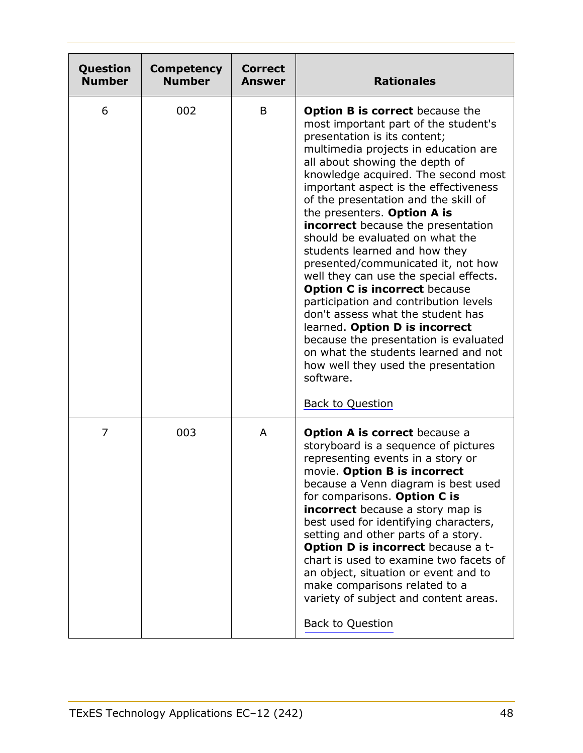| Question<br><b>Number</b> | <b>Competency</b><br><b>Number</b> | <b>Correct</b><br><b>Answer</b> | <b>Rationales</b>                                                                                                                                                                                                                                                                                                                                                                                                                                                                                                                                                                                                                                                                                                                                                                                                                                                 |
|---------------------------|------------------------------------|---------------------------------|-------------------------------------------------------------------------------------------------------------------------------------------------------------------------------------------------------------------------------------------------------------------------------------------------------------------------------------------------------------------------------------------------------------------------------------------------------------------------------------------------------------------------------------------------------------------------------------------------------------------------------------------------------------------------------------------------------------------------------------------------------------------------------------------------------------------------------------------------------------------|
| 6                         | 002                                | B                               | <b>Option B is correct</b> because the<br>most important part of the student's<br>presentation is its content;<br>multimedia projects in education are<br>all about showing the depth of<br>knowledge acquired. The second most<br>important aspect is the effectiveness<br>of the presentation and the skill of<br>the presenters. Option A is<br>incorrect because the presentation<br>should be evaluated on what the<br>students learned and how they<br>presented/communicated it, not how<br>well they can use the special effects.<br><b>Option C is incorrect because</b><br>participation and contribution levels<br>don't assess what the student has<br>learned. Option D is incorrect<br>because the presentation is evaluated<br>on what the students learned and not<br>how well they used the presentation<br>software.<br><b>Back to Question</b> |
| $\overline{7}$            | 003                                | A                               | <b>Option A is correct</b> because a<br>storyboard is a sequence of pictures<br>representing events in a story or<br>movie. Option B is incorrect<br>because a Venn diagram is best used<br>for comparisons. Option C is<br>incorrect because a story map is<br>best used for identifying characters,<br>setting and other parts of a story.<br>Option D is incorrect because a t-<br>chart is used to examine two facets of<br>an object, situation or event and to<br>make comparisons related to a<br>variety of subject and content areas.<br><b>Back to Question</b>                                                                                                                                                                                                                                                                                         |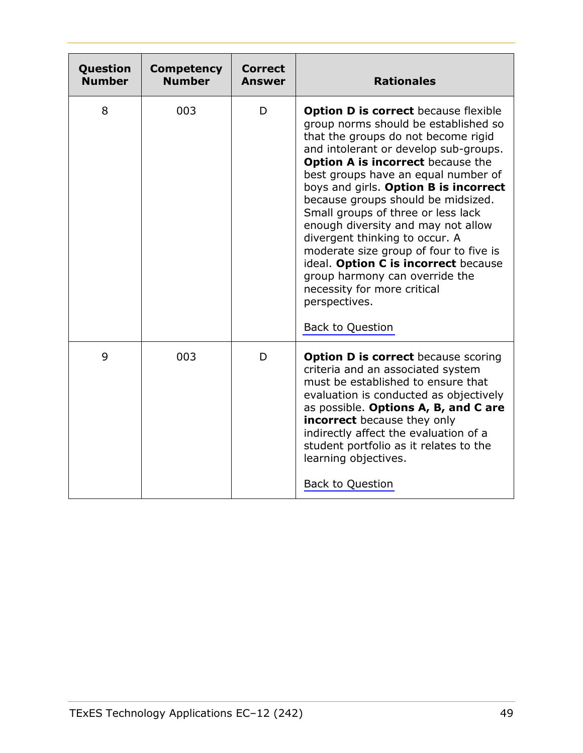| Question<br><b>Number</b> | <b>Competency</b><br><b>Number</b> | <b>Correct</b><br><b>Answer</b> | <b>Rationales</b>                                                                                                                                                                                                                                                                                                                                                                                                                                                                                                                                                                                                                           |
|---------------------------|------------------------------------|---------------------------------|---------------------------------------------------------------------------------------------------------------------------------------------------------------------------------------------------------------------------------------------------------------------------------------------------------------------------------------------------------------------------------------------------------------------------------------------------------------------------------------------------------------------------------------------------------------------------------------------------------------------------------------------|
| 8                         | 003                                | D                               | <b>Option D is correct because flexible</b><br>group norms should be established so<br>that the groups do not become rigid<br>and intolerant or develop sub-groups.<br><b>Option A is incorrect</b> because the<br>best groups have an equal number of<br>boys and girls. Option B is incorrect<br>because groups should be midsized.<br>Small groups of three or less lack<br>enough diversity and may not allow<br>divergent thinking to occur. A<br>moderate size group of four to five is<br>ideal. Option C is incorrect because<br>group harmony can override the<br>necessity for more critical<br>perspectives.<br>Back to Question |
| 9                         | 003                                | D                               | <b>Option D is correct because scoring</b><br>criteria and an associated system<br>must be established to ensure that<br>evaluation is conducted as objectively<br>as possible. Options A, B, and C are<br><b>incorrect</b> because they only<br>indirectly affect the evaluation of a<br>student portfolio as it relates to the<br>learning objectives.<br>Back to Question                                                                                                                                                                                                                                                                |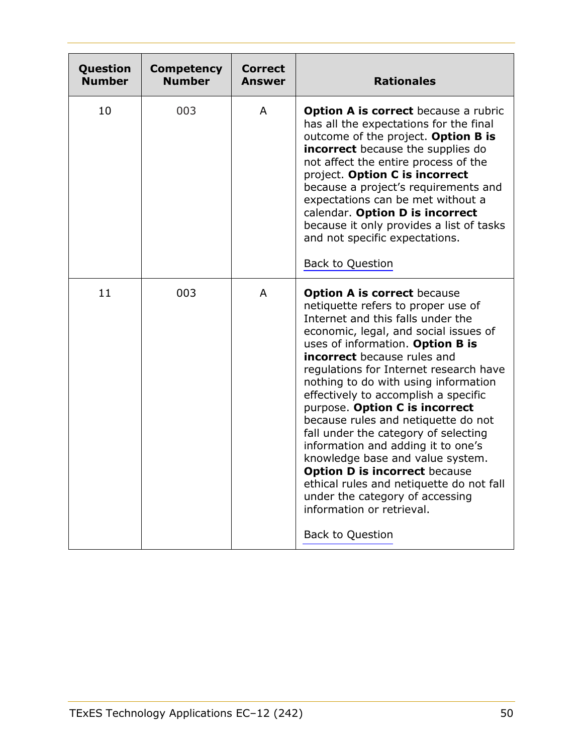| Question<br><b>Number</b> | <b>Competency</b><br><b>Number</b> | <b>Correct</b><br>Answer | <b>Rationales</b>                                                                                                                                                                                                                                                                                                                                                                                                                                                                                                                                                                                                                                                                                                                    |
|---------------------------|------------------------------------|--------------------------|--------------------------------------------------------------------------------------------------------------------------------------------------------------------------------------------------------------------------------------------------------------------------------------------------------------------------------------------------------------------------------------------------------------------------------------------------------------------------------------------------------------------------------------------------------------------------------------------------------------------------------------------------------------------------------------------------------------------------------------|
| 10                        | 003                                | A                        | <b>Option A is correct</b> because a rubric<br>has all the expectations for the final<br>outcome of the project. Option B is<br>incorrect because the supplies do<br>not affect the entire process of the<br>project. Option C is incorrect<br>because a project's requirements and<br>expectations can be met without a<br>calendar. Option D is incorrect<br>because it only provides a list of tasks<br>and not specific expectations.<br><b>Back to Question</b>                                                                                                                                                                                                                                                                 |
| 11                        | 003                                | $\mathsf{A}$             | <b>Option A is correct because</b><br>netiquette refers to proper use of<br>Internet and this falls under the<br>economic, legal, and social issues of<br>uses of information. Option B is<br><b>incorrect</b> because rules and<br>regulations for Internet research have<br>nothing to do with using information<br>effectively to accomplish a specific<br>purpose. Option C is incorrect<br>because rules and netiquette do not<br>fall under the category of selecting<br>information and adding it to one's<br>knowledge base and value system.<br><b>Option D is incorrect because</b><br>ethical rules and netiquette do not fall<br>under the category of accessing<br>information or retrieval.<br><b>Back to Question</b> |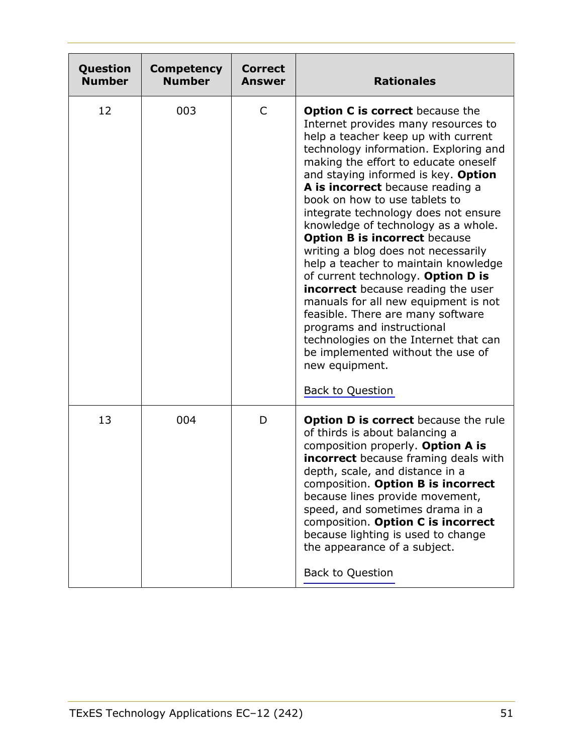| Question<br><b>Number</b> | <b>Competency</b><br><b>Number</b> | <b>Correct</b><br><b>Answer</b> | <b>Rationales</b>                                                                                                                                                                                                                                                                                                                                                                                                                                                                                                                                                                                                                                                                                                                                                                                                                                |
|---------------------------|------------------------------------|---------------------------------|--------------------------------------------------------------------------------------------------------------------------------------------------------------------------------------------------------------------------------------------------------------------------------------------------------------------------------------------------------------------------------------------------------------------------------------------------------------------------------------------------------------------------------------------------------------------------------------------------------------------------------------------------------------------------------------------------------------------------------------------------------------------------------------------------------------------------------------------------|
| 12                        | 003                                | C                               | <b>Option C is correct</b> because the<br>Internet provides many resources to<br>help a teacher keep up with current<br>technology information. Exploring and<br>making the effort to educate oneself<br>and staying informed is key. Option<br>A is incorrect because reading a<br>book on how to use tablets to<br>integrate technology does not ensure<br>knowledge of technology as a whole.<br><b>Option B is incorrect because</b><br>writing a blog does not necessarily<br>help a teacher to maintain knowledge<br>of current technology. Option D is<br><b>incorrect</b> because reading the user<br>manuals for all new equipment is not<br>feasible. There are many software<br>programs and instructional<br>technologies on the Internet that can<br>be implemented without the use of<br>new equipment.<br><b>Back to Question</b> |
| 13                        | 004                                | D                               | <b>Option D is correct</b> because the rule<br>of thirds is about balancing a<br>composition properly. Option A is<br>incorrect because framing deals with<br>depth, scale, and distance in a<br>composition. Option B is incorrect<br>because lines provide movement,<br>speed, and sometimes drama in a<br>composition. Option C is incorrect<br>because lighting is used to change<br>the appearance of a subject.<br>Back to Question                                                                                                                                                                                                                                                                                                                                                                                                        |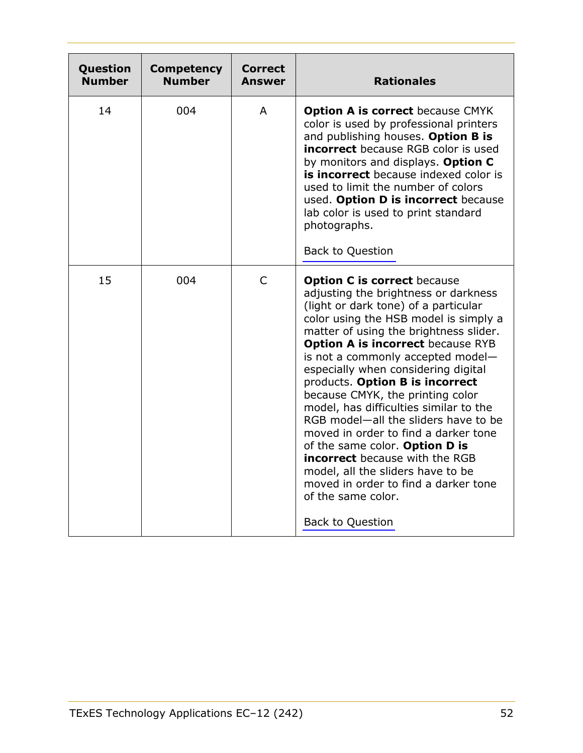| Question<br><b>Number</b> | <b>Competency</b><br><b>Number</b> | Correct<br>Answer | <b>Rationales</b>                                                                                                                                                                                                                                                                                                                                                                                                                                                                                                                                                                                                                                                                                                                       |
|---------------------------|------------------------------------|-------------------|-----------------------------------------------------------------------------------------------------------------------------------------------------------------------------------------------------------------------------------------------------------------------------------------------------------------------------------------------------------------------------------------------------------------------------------------------------------------------------------------------------------------------------------------------------------------------------------------------------------------------------------------------------------------------------------------------------------------------------------------|
| 14                        | 004                                | A                 | <b>Option A is correct because CMYK</b><br>color is used by professional printers<br>and publishing houses. Option B is<br><b>incorrect</b> because RGB color is used<br>by monitors and displays. Option C<br>is incorrect because indexed color is<br>used to limit the number of colors<br>used. Option D is incorrect because<br>lab color is used to print standard<br>photographs.<br>Back to Question                                                                                                                                                                                                                                                                                                                            |
| 15                        | 004                                | $\mathsf{C}$      | <b>Option C is correct because</b><br>adjusting the brightness or darkness<br>(light or dark tone) of a particular<br>color using the HSB model is simply a<br>matter of using the brightness slider.<br><b>Option A is incorrect because RYB</b><br>is not a commonly accepted model-<br>especially when considering digital<br>products. Option B is incorrect<br>because CMYK, the printing color<br>model, has difficulties similar to the<br>RGB model-all the sliders have to be<br>moved in order to find a darker tone<br>of the same color. Option D is<br><b>incorrect</b> because with the RGB<br>model, all the sliders have to be<br>moved in order to find a darker tone<br>of the same color.<br><b>Back to Question</b> |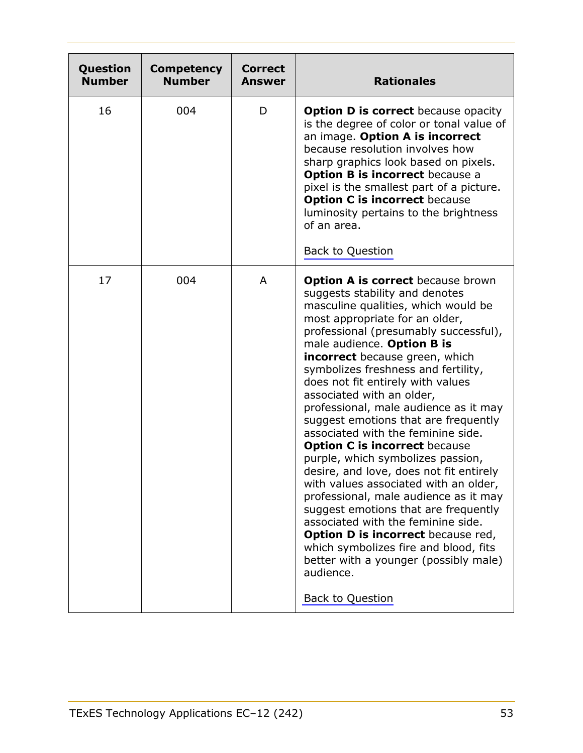| Question<br><b>Number</b> | <b>Competency</b><br><b>Number</b> | <b>Correct</b><br><b>Answer</b> | <b>Rationales</b>                                                                                                                                                                                                                                                                                                                                                                                                                                                                                                                                                                                                                                                                                                                                                                                                                                                                                                                                                  |
|---------------------------|------------------------------------|---------------------------------|--------------------------------------------------------------------------------------------------------------------------------------------------------------------------------------------------------------------------------------------------------------------------------------------------------------------------------------------------------------------------------------------------------------------------------------------------------------------------------------------------------------------------------------------------------------------------------------------------------------------------------------------------------------------------------------------------------------------------------------------------------------------------------------------------------------------------------------------------------------------------------------------------------------------------------------------------------------------|
| 16                        | 004                                | D                               | <b>Option D is correct</b> because opacity<br>is the degree of color or tonal value of<br>an image. Option A is incorrect<br>because resolution involves how<br>sharp graphics look based on pixels.<br><b>Option B is incorrect because a</b><br>pixel is the smallest part of a picture.<br><b>Option C is incorrect because</b><br>luminosity pertains to the brightness<br>of an area.<br><b>Back to Question</b>                                                                                                                                                                                                                                                                                                                                                                                                                                                                                                                                              |
| 17                        | 004                                | A                               | <b>Option A is correct</b> because brown<br>suggests stability and denotes<br>masculine qualities, which would be<br>most appropriate for an older,<br>professional (presumably successful),<br>male audience. Option B is<br><b>incorrect</b> because green, which<br>symbolizes freshness and fertility,<br>does not fit entirely with values<br>associated with an older,<br>professional, male audience as it may<br>suggest emotions that are frequently<br>associated with the feminine side.<br><b>Option C is incorrect because</b><br>purple, which symbolizes passion,<br>desire, and love, does not fit entirely<br>with values associated with an older,<br>professional, male audience as it may<br>suggest emotions that are frequently<br>associated with the feminine side.<br><b>Option D is incorrect</b> because red,<br>which symbolizes fire and blood, fits<br>better with a younger (possibly male)<br>audience.<br><b>Back to Question</b> |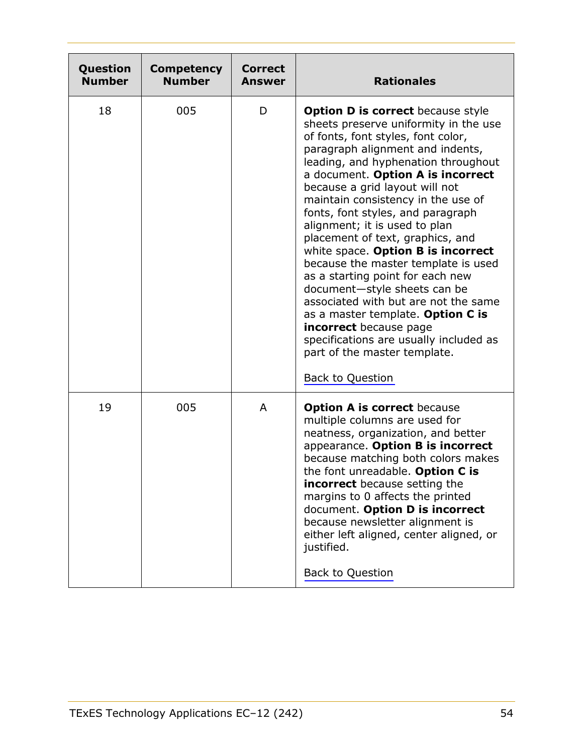| Question<br><b>Number</b> | <b>Competency</b><br><b>Number</b> | <b>Correct</b><br>Answer | <b>Rationales</b>                                                                                                                                                                                                                                                                                                                                                                                                                                                                                                                                                                                                                                                                                                                                                                      |
|---------------------------|------------------------------------|--------------------------|----------------------------------------------------------------------------------------------------------------------------------------------------------------------------------------------------------------------------------------------------------------------------------------------------------------------------------------------------------------------------------------------------------------------------------------------------------------------------------------------------------------------------------------------------------------------------------------------------------------------------------------------------------------------------------------------------------------------------------------------------------------------------------------|
| 18                        | 005                                | D                        | <b>Option D is correct</b> because style<br>sheets preserve uniformity in the use<br>of fonts, font styles, font color,<br>paragraph alignment and indents,<br>leading, and hyphenation throughout<br>a document. Option A is incorrect<br>because a grid layout will not<br>maintain consistency in the use of<br>fonts, font styles, and paragraph<br>alignment; it is used to plan<br>placement of text, graphics, and<br>white space. Option B is incorrect<br>because the master template is used<br>as a starting point for each new<br>document-style sheets can be<br>associated with but are not the same<br>as a master template. Option C is<br>incorrect because page<br>specifications are usually included as<br>part of the master template.<br><b>Back to Question</b> |
| 19                        | 005                                | A                        | <b>Option A is correct because</b><br>multiple columns are used for<br>neatness, organization, and better<br>appearance. Option B is incorrect<br>because matching both colors makes<br>the font unreadable. Option C is<br>incorrect because setting the<br>margins to 0 affects the printed<br>document. Option D is incorrect<br>because newsletter alignment is<br>either left aligned, center aligned, or<br>justified.<br><b>Back to Question</b>                                                                                                                                                                                                                                                                                                                                |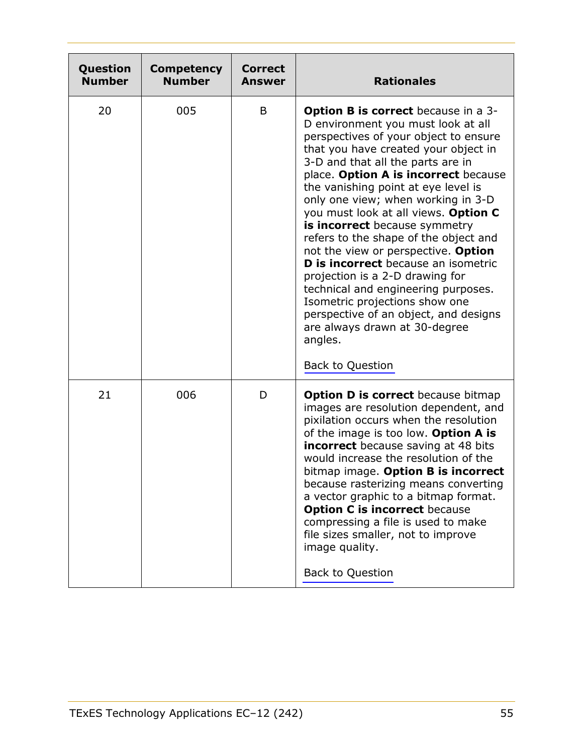| Question<br><b>Number</b> | <b>Competency</b><br><b>Number</b> | <b>Correct</b><br><b>Answer</b> | <b>Rationales</b>                                                                                                                                                                                                                                                                                                                                                                                                                                                                                                                                                                                                                                                                                                                                       |
|---------------------------|------------------------------------|---------------------------------|---------------------------------------------------------------------------------------------------------------------------------------------------------------------------------------------------------------------------------------------------------------------------------------------------------------------------------------------------------------------------------------------------------------------------------------------------------------------------------------------------------------------------------------------------------------------------------------------------------------------------------------------------------------------------------------------------------------------------------------------------------|
| 20                        | 005                                | B                               | <b>Option B is correct</b> because in a 3-<br>D environment you must look at all<br>perspectives of your object to ensure<br>that you have created your object in<br>3-D and that all the parts are in<br>place. Option A is incorrect because<br>the vanishing point at eye level is<br>only one view; when working in 3-D<br>you must look at all views. Option C<br>is incorrect because symmetry<br>refers to the shape of the object and<br>not the view or perspective. Option<br>D is incorrect because an isometric<br>projection is a 2-D drawing for<br>technical and engineering purposes.<br>Isometric projections show one<br>perspective of an object, and designs<br>are always drawn at 30-degree<br>angles.<br><b>Back to Question</b> |
| 21                        | 006                                | D                               | Option D is correct because bitmap<br>images are resolution dependent, and<br>pixilation occurs when the resolution<br>of the image is too low. Option A is<br>incorrect because saving at 48 bits<br>would increase the resolution of the<br>bitmap image. Option B is incorrect<br>because rasterizing means converting<br>a vector graphic to a bitmap format.<br><b>Option C is incorrect because</b><br>compressing a file is used to make<br>file sizes smaller, not to improve<br>image quality.<br><b>Back to Question</b>                                                                                                                                                                                                                      |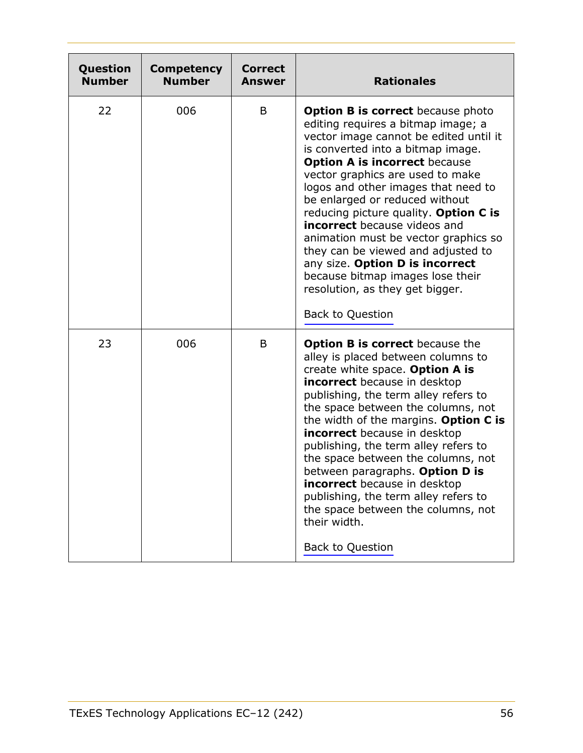| Question<br><b>Number</b> | <b>Competency</b><br><b>Number</b> | Correct<br><b>Answer</b> | <b>Rationales</b>                                                                                                                                                                                                                                                                                                                                                                                                                                                                                                                                                                                                     |
|---------------------------|------------------------------------|--------------------------|-----------------------------------------------------------------------------------------------------------------------------------------------------------------------------------------------------------------------------------------------------------------------------------------------------------------------------------------------------------------------------------------------------------------------------------------------------------------------------------------------------------------------------------------------------------------------------------------------------------------------|
| 22                        | 006                                | B                        | <b>Option B is correct</b> because photo<br>editing requires a bitmap image; a<br>vector image cannot be edited until it<br>is converted into a bitmap image.<br><b>Option A is incorrect because</b><br>vector graphics are used to make<br>logos and other images that need to<br>be enlarged or reduced without<br>reducing picture quality. Option C is<br><b>incorrect</b> because videos and<br>animation must be vector graphics so<br>they can be viewed and adjusted to<br>any size. Option D is incorrect<br>because bitmap images lose their<br>resolution, as they get bigger.<br><b>Back to Question</b> |
| 23                        | 006                                | B                        | <b>Option B is correct</b> because the<br>alley is placed between columns to<br>create white space. Option A is<br><b>incorrect</b> because in desktop<br>publishing, the term alley refers to<br>the space between the columns, not<br>the width of the margins. Option C is<br>incorrect because in desktop<br>publishing, the term alley refers to<br>the space between the columns, not<br>between paragraphs. Option D is<br>incorrect because in desktop<br>publishing, the term alley refers to<br>the space between the columns, not<br>their width.<br><b>Back to Question</b>                               |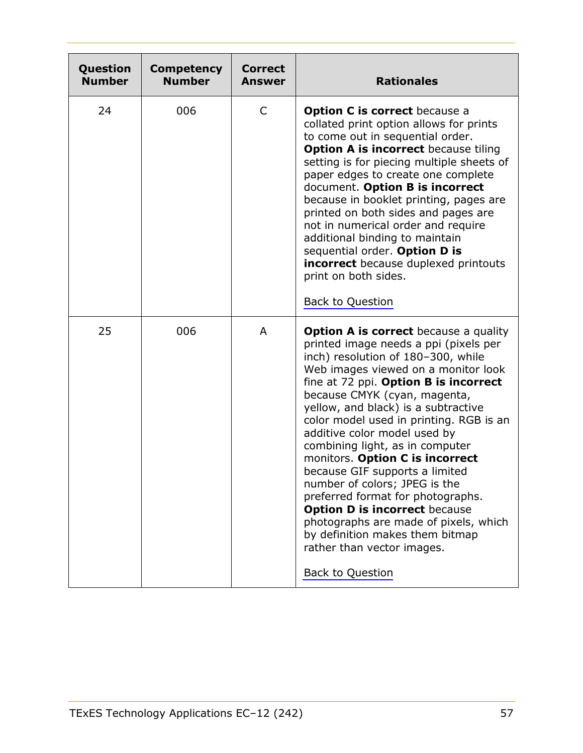| Question<br><b>Number</b> | <b>Competency</b><br><b>Number</b> | <b>Correct</b><br><b>Answer</b> | <b>Rationales</b>                                                                                                                                                                                                                                                                                                                                                                                                                                                                                                                                                                                                                                                                                                        |
|---------------------------|------------------------------------|---------------------------------|--------------------------------------------------------------------------------------------------------------------------------------------------------------------------------------------------------------------------------------------------------------------------------------------------------------------------------------------------------------------------------------------------------------------------------------------------------------------------------------------------------------------------------------------------------------------------------------------------------------------------------------------------------------------------------------------------------------------------|
| 24                        | 006                                | C                               | <b>Option C is correct</b> because a<br>collated print option allows for prints<br>to come out in sequential order.<br><b>Option A is incorrect</b> because tiling<br>setting is for piecing multiple sheets of<br>paper edges to create one complete<br>document. Option B is incorrect<br>because in booklet printing, pages are<br>printed on both sides and pages are<br>not in numerical order and require<br>additional binding to maintain<br>sequential order. Option D is<br>incorrect because duplexed printouts<br>print on both sides.<br><b>Back to Question</b>                                                                                                                                            |
| 25                        | 006                                | A                               | <b>Option A is correct</b> because a quality<br>printed image needs a ppi (pixels per<br>inch) resolution of 180-300, while<br>Web images viewed on a monitor look<br>fine at 72 ppi. Option B is incorrect<br>because CMYK (cyan, magenta,<br>yellow, and black) is a subtractive<br>color model used in printing. RGB is an<br>additive color model used by<br>combining light, as in computer<br>monitors. Option C is incorrect<br>because GIF supports a limited<br>number of colors; JPEG is the<br>preferred format for photographs.<br><b>Option D is incorrect because</b><br>photographs are made of pixels, which<br>by definition makes them bitmap<br>rather than vector images.<br><b>Back to Question</b> |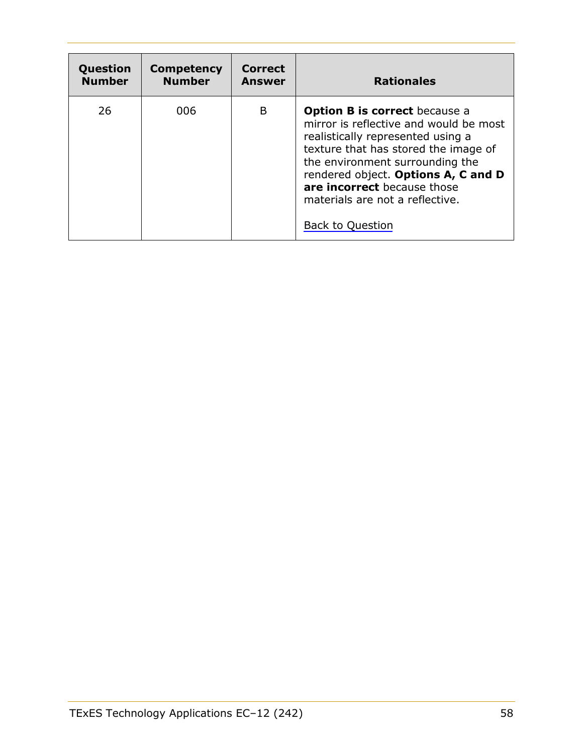| Question      | <b>Competency</b> | <b>Correct</b> | <b>Rationales</b>                                                                                                                                                                                                                                                                                                                  |
|---------------|-------------------|----------------|------------------------------------------------------------------------------------------------------------------------------------------------------------------------------------------------------------------------------------------------------------------------------------------------------------------------------------|
| <b>Number</b> | <b>Number</b>     | <b>Answer</b>  |                                                                                                                                                                                                                                                                                                                                    |
| 26            | 006               | B              | <b>Option B is correct</b> because a<br>mirror is reflective and would be most<br>realistically represented using a<br>texture that has stored the image of<br>the environment surrounding the<br>rendered object. Options A, C and D<br>are incorrect because those<br>materials are not a reflective.<br><b>Back to Question</b> |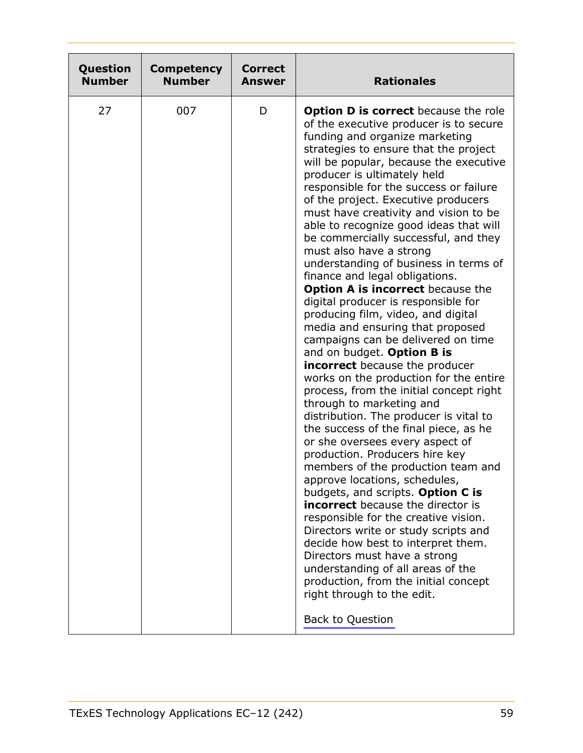| Question      | <b>Competency</b> | <b>Correct</b> | <b>Rationales</b>                                                                                                                                                                                                                                                                                                                                                                                                                                                                                                                                                                                                                                                                                                                                                                                                                                                                                                                                                                                                                                                                                                                                                                                                                                                                                                                                                                                                                                                                                                                                                  |
|---------------|-------------------|----------------|--------------------------------------------------------------------------------------------------------------------------------------------------------------------------------------------------------------------------------------------------------------------------------------------------------------------------------------------------------------------------------------------------------------------------------------------------------------------------------------------------------------------------------------------------------------------------------------------------------------------------------------------------------------------------------------------------------------------------------------------------------------------------------------------------------------------------------------------------------------------------------------------------------------------------------------------------------------------------------------------------------------------------------------------------------------------------------------------------------------------------------------------------------------------------------------------------------------------------------------------------------------------------------------------------------------------------------------------------------------------------------------------------------------------------------------------------------------------------------------------------------------------------------------------------------------------|
| <b>Number</b> | <b>Number</b>     | <b>Answer</b>  |                                                                                                                                                                                                                                                                                                                                                                                                                                                                                                                                                                                                                                                                                                                                                                                                                                                                                                                                                                                                                                                                                                                                                                                                                                                                                                                                                                                                                                                                                                                                                                    |
| 27            | 007               | D              | <b>Option D is correct because the role</b><br>of the executive producer is to secure<br>funding and organize marketing<br>strategies to ensure that the project<br>will be popular, because the executive<br>producer is ultimately held<br>responsible for the success or failure<br>of the project. Executive producers<br>must have creativity and vision to be<br>able to recognize good ideas that will<br>be commercially successful, and they<br>must also have a strong<br>understanding of business in terms of<br>finance and legal obligations.<br><b>Option A is incorrect</b> because the<br>digital producer is responsible for<br>producing film, video, and digital<br>media and ensuring that proposed<br>campaigns can be delivered on time<br>and on budget. Option B is<br><b>incorrect</b> because the producer<br>works on the production for the entire<br>process, from the initial concept right<br>through to marketing and<br>distribution. The producer is vital to<br>the success of the final piece, as he<br>or she oversees every aspect of<br>production. Producers hire key<br>members of the production team and<br>approve locations, schedules,<br>budgets, and scripts. Option C is<br><b>incorrect</b> because the director is<br>responsible for the creative vision.<br>Directors write or study scripts and<br>decide how best to interpret them.<br>Directors must have a strong<br>understanding of all areas of the<br>production, from the initial concept<br>right through to the edit.<br><b>Back to Question</b> |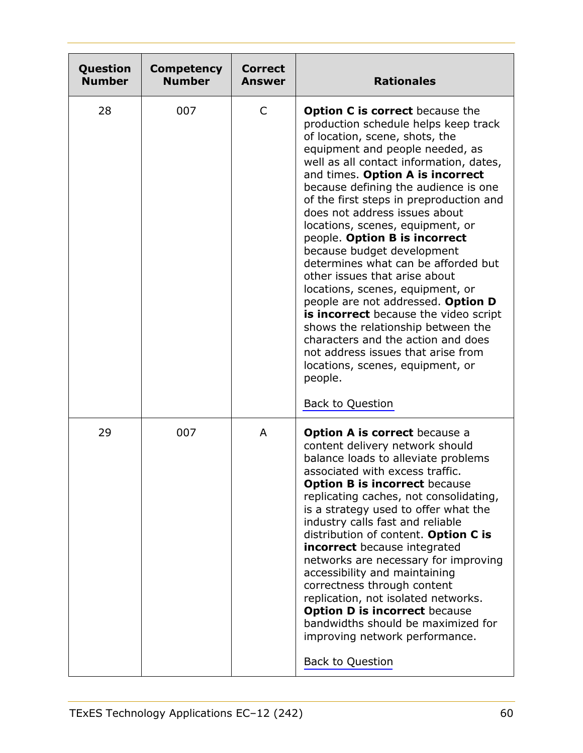| Question<br><b>Number</b> | <b>Competency</b><br><b>Number</b> | <b>Correct</b><br>Answer | <b>Rationales</b>                                                                                                                                                                                                                                                                                                                                                                                                                                                                                                                                                                                                                                                                                                                                                                                                                                |
|---------------------------|------------------------------------|--------------------------|--------------------------------------------------------------------------------------------------------------------------------------------------------------------------------------------------------------------------------------------------------------------------------------------------------------------------------------------------------------------------------------------------------------------------------------------------------------------------------------------------------------------------------------------------------------------------------------------------------------------------------------------------------------------------------------------------------------------------------------------------------------------------------------------------------------------------------------------------|
| 28                        | 007                                | $\mathsf{C}$             | <b>Option C is correct</b> because the<br>production schedule helps keep track<br>of location, scene, shots, the<br>equipment and people needed, as<br>well as all contact information, dates,<br>and times. Option A is incorrect<br>because defining the audience is one<br>of the first steps in preproduction and<br>does not address issues about<br>locations, scenes, equipment, or<br>people. Option B is incorrect<br>because budget development<br>determines what can be afforded but<br>other issues that arise about<br>locations, scenes, equipment, or<br>people are not addressed. Option D<br>is incorrect because the video script<br>shows the relationship between the<br>characters and the action and does<br>not address issues that arise from<br>locations, scenes, equipment, or<br>people.<br><b>Back to Question</b> |
| 29                        | 007                                | A                        | <b>Option A is correct</b> because a<br>content delivery network should<br>balance loads to alleviate problems<br>associated with excess traffic.<br><b>Option B is incorrect because</b><br>replicating caches, not consolidating,<br>is a strategy used to offer what the<br>industry calls fast and reliable<br>distribution of content. Option C is<br>incorrect because integrated<br>networks are necessary for improving<br>accessibility and maintaining<br>correctness through content<br>replication, not isolated networks.<br><b>Option D is incorrect because</b><br>bandwidths should be maximized for<br>improving network performance.<br><b>Back to Question</b>                                                                                                                                                                |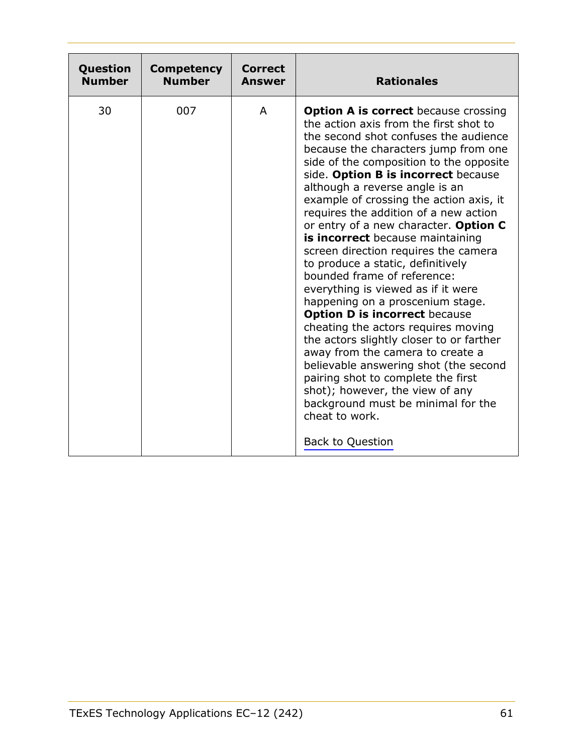<span id="page-60-0"></span>

| Question      | <b>Competency</b> | Correct | <b>Rationales</b>                                                                                                                                                                                                                                                                                                                                                                                                                                                                                                                                                                                                                                                                                                                                                                                                                                                                                                                                                                                                     |
|---------------|-------------------|---------|-----------------------------------------------------------------------------------------------------------------------------------------------------------------------------------------------------------------------------------------------------------------------------------------------------------------------------------------------------------------------------------------------------------------------------------------------------------------------------------------------------------------------------------------------------------------------------------------------------------------------------------------------------------------------------------------------------------------------------------------------------------------------------------------------------------------------------------------------------------------------------------------------------------------------------------------------------------------------------------------------------------------------|
| <b>Number</b> | <b>Number</b>     | Answer  |                                                                                                                                                                                                                                                                                                                                                                                                                                                                                                                                                                                                                                                                                                                                                                                                                                                                                                                                                                                                                       |
| 30            | 007               | A       | <b>Option A is correct</b> because crossing<br>the action axis from the first shot to<br>the second shot confuses the audience<br>because the characters jump from one<br>side of the composition to the opposite<br>side. Option B is incorrect because<br>although a reverse angle is an<br>example of crossing the action axis, it<br>requires the addition of a new action<br>or entry of a new character. Option C<br>is incorrect because maintaining<br>screen direction requires the camera<br>to produce a static, definitively<br>bounded frame of reference:<br>everything is viewed as if it were<br>happening on a proscenium stage.<br><b>Option D is incorrect because</b><br>cheating the actors requires moving<br>the actors slightly closer to or farther<br>away from the camera to create a<br>believable answering shot (the second<br>pairing shot to complete the first<br>shot); however, the view of any<br>background must be minimal for the<br>cheat to work.<br><b>Back to Question</b> |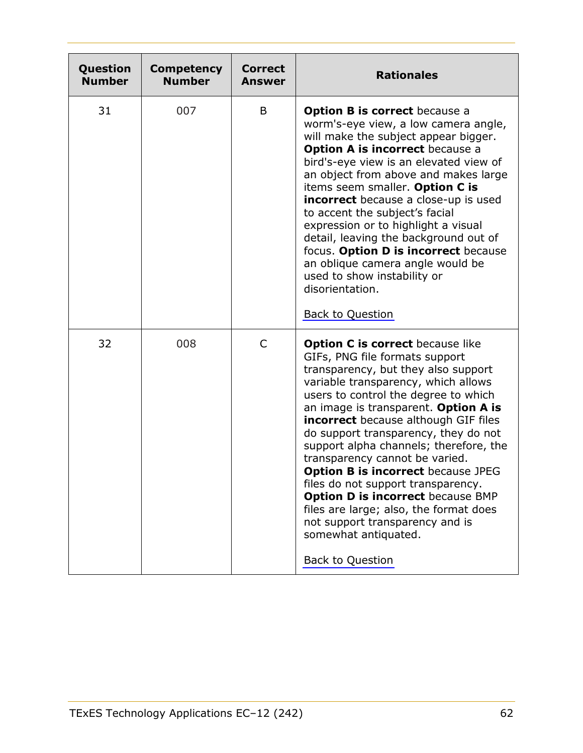<span id="page-61-0"></span>

| Question<br><b>Number</b> | <b>Competency</b><br><b>Number</b> | <b>Correct</b><br>Answer | <b>Rationales</b>                                                                                                                                                                                                                                                                                                                                                                                                                                                                                                                                                                                                                                                  |
|---------------------------|------------------------------------|--------------------------|--------------------------------------------------------------------------------------------------------------------------------------------------------------------------------------------------------------------------------------------------------------------------------------------------------------------------------------------------------------------------------------------------------------------------------------------------------------------------------------------------------------------------------------------------------------------------------------------------------------------------------------------------------------------|
| 31                        | 007                                | B                        | <b>Option B is correct</b> because a<br>worm's-eye view, a low camera angle,<br>will make the subject appear bigger.<br><b>Option A is incorrect because a</b><br>bird's-eye view is an elevated view of<br>an object from above and makes large<br>items seem smaller. Option C is<br><b>incorrect</b> because a close-up is used<br>to accent the subject's facial<br>expression or to highlight a visual<br>detail, leaving the background out of<br>focus. Option D is incorrect because<br>an oblique camera angle would be<br>used to show instability or<br>disorientation.<br><b>Back to Question</b>                                                      |
| 32                        | 008                                | C                        | <b>Option C is correct</b> because like<br>GIFs, PNG file formats support<br>transparency, but they also support<br>variable transparency, which allows<br>users to control the degree to which<br>an image is transparent. Option A is<br><b>incorrect</b> because although GIF files<br>do support transparency, they do not<br>support alpha channels; therefore, the<br>transparency cannot be varied.<br><b>Option B is incorrect because JPEG</b><br>files do not support transparency.<br><b>Option D is incorrect because BMP</b><br>files are large; also, the format does<br>not support transparency and is<br>somewhat antiquated.<br>Back to Question |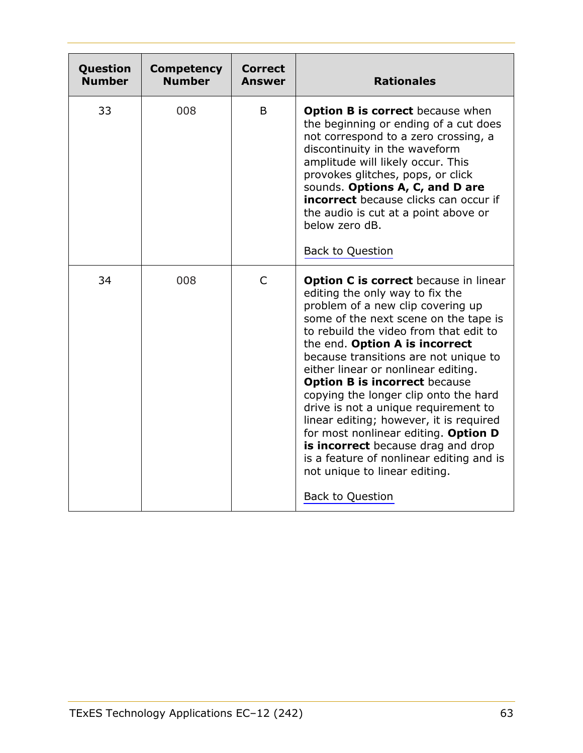<span id="page-62-0"></span>

| Question<br><b>Number</b> | <b>Competency</b><br><b>Number</b> | <b>Correct</b><br><b>Answer</b> | <b>Rationales</b>                                                                                                                                                                                                                                                                                                                                                                                                                                                                                                                                                                                                                                                            |
|---------------------------|------------------------------------|---------------------------------|------------------------------------------------------------------------------------------------------------------------------------------------------------------------------------------------------------------------------------------------------------------------------------------------------------------------------------------------------------------------------------------------------------------------------------------------------------------------------------------------------------------------------------------------------------------------------------------------------------------------------------------------------------------------------|
| 33                        | 008                                | B                               | <b>Option B is correct</b> because when<br>the beginning or ending of a cut does<br>not correspond to a zero crossing, a<br>discontinuity in the waveform<br>amplitude will likely occur. This<br>provokes glitches, pops, or click<br>sounds. Options A, C, and D are<br><b>incorrect</b> because clicks can occur if<br>the audio is cut at a point above or<br>below zero dB.<br><b>Back to Question</b>                                                                                                                                                                                                                                                                  |
| 34                        | 008                                | $\mathsf{C}$                    | <b>Option C is correct</b> because in linear<br>editing the only way to fix the<br>problem of a new clip covering up<br>some of the next scene on the tape is<br>to rebuild the video from that edit to<br>the end. Option A is incorrect<br>because transitions are not unique to<br>either linear or nonlinear editing.<br><b>Option B is incorrect because</b><br>copying the longer clip onto the hard<br>drive is not a unique requirement to<br>linear editing; however, it is required<br>for most nonlinear editing. Option D<br>is incorrect because drag and drop<br>is a feature of nonlinear editing and is<br>not unique to linear editing.<br>Back to Question |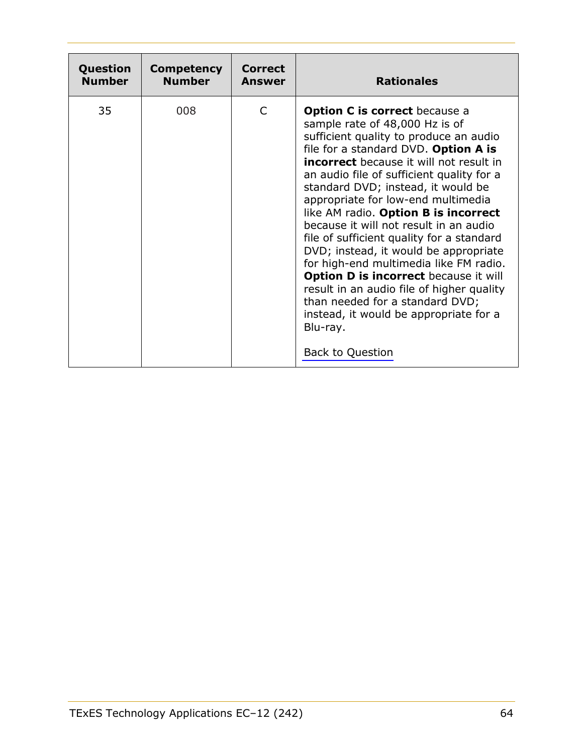<span id="page-63-0"></span>

| Question      | <b>Competency</b> | Correct | <b>Rationales</b>                                                                                                                                                                                                                                                                                                                                                                                                                                                                                                                                                                                                                                                                                                                                               |
|---------------|-------------------|---------|-----------------------------------------------------------------------------------------------------------------------------------------------------------------------------------------------------------------------------------------------------------------------------------------------------------------------------------------------------------------------------------------------------------------------------------------------------------------------------------------------------------------------------------------------------------------------------------------------------------------------------------------------------------------------------------------------------------------------------------------------------------------|
| <b>Number</b> | <b>Number</b>     | Answer  |                                                                                                                                                                                                                                                                                                                                                                                                                                                                                                                                                                                                                                                                                                                                                                 |
| 35            | 008               | C       | <b>Option C is correct because a</b><br>sample rate of 48,000 Hz is of<br>sufficient quality to produce an audio<br>file for a standard DVD. Option A is<br><b>incorrect</b> because it will not result in<br>an audio file of sufficient quality for a<br>standard DVD; instead, it would be<br>appropriate for low-end multimedia<br>like AM radio. Option B is incorrect<br>because it will not result in an audio<br>file of sufficient quality for a standard<br>DVD; instead, it would be appropriate<br>for high-end multimedia like FM radio.<br>Option D is incorrect because it will<br>result in an audio file of higher quality<br>than needed for a standard DVD;<br>instead, it would be appropriate for a<br>Blu-ray.<br><b>Back to Question</b> |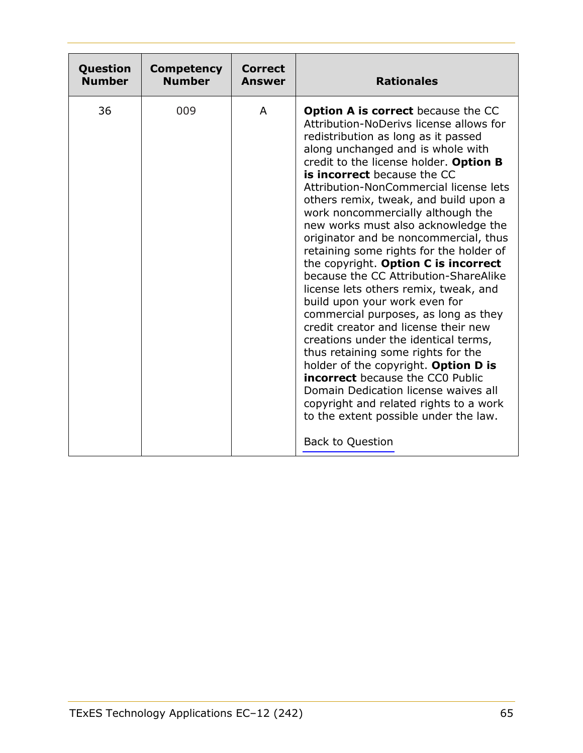<span id="page-64-0"></span>

| Question      | <b>Competency</b> | Correct | <b>Rationales</b>                                                                                                                                                                                                                                                                                                                                                                                                                                                                                                                                                                                                                                                                                                                                                                                                                                                                                                                                                                                                                                              |
|---------------|-------------------|---------|----------------------------------------------------------------------------------------------------------------------------------------------------------------------------------------------------------------------------------------------------------------------------------------------------------------------------------------------------------------------------------------------------------------------------------------------------------------------------------------------------------------------------------------------------------------------------------------------------------------------------------------------------------------------------------------------------------------------------------------------------------------------------------------------------------------------------------------------------------------------------------------------------------------------------------------------------------------------------------------------------------------------------------------------------------------|
| <b>Number</b> | <b>Number</b>     | Answer  |                                                                                                                                                                                                                                                                                                                                                                                                                                                                                                                                                                                                                                                                                                                                                                                                                                                                                                                                                                                                                                                                |
| 36            | 009               | A       | <b>Option A is correct</b> because the CC<br>Attribution-NoDerivs license allows for<br>redistribution as long as it passed<br>along unchanged and is whole with<br>credit to the license holder. Option B<br>is incorrect because the CC<br>Attribution-NonCommercial license lets<br>others remix, tweak, and build upon a<br>work noncommercially although the<br>new works must also acknowledge the<br>originator and be noncommercial, thus<br>retaining some rights for the holder of<br>the copyright. Option C is incorrect<br>because the CC Attribution-ShareAlike<br>license lets others remix, tweak, and<br>build upon your work even for<br>commercial purposes, as long as they<br>credit creator and license their new<br>creations under the identical terms,<br>thus retaining some rights for the<br>holder of the copyright. Option D is<br><b>incorrect</b> because the CC0 Public<br>Domain Dedication license waives all<br>copyright and related rights to a work<br>to the extent possible under the law.<br><b>Back to Question</b> |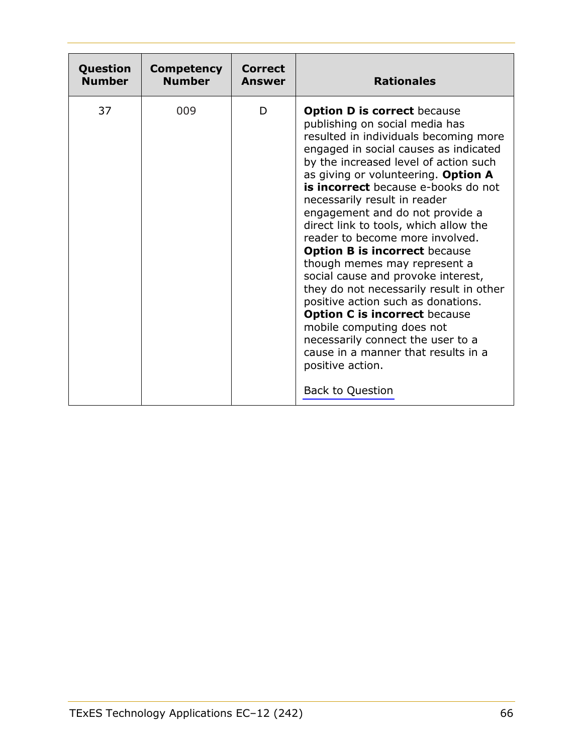<span id="page-65-0"></span>

| Question      | <b>Competency</b> | <b>Correct</b> | <b>Rationales</b>                                                                                                                                                                                                                                                                                                                                                                                                                                                                                                                                                                                                                                                                                                                                                                                                           |
|---------------|-------------------|----------------|-----------------------------------------------------------------------------------------------------------------------------------------------------------------------------------------------------------------------------------------------------------------------------------------------------------------------------------------------------------------------------------------------------------------------------------------------------------------------------------------------------------------------------------------------------------------------------------------------------------------------------------------------------------------------------------------------------------------------------------------------------------------------------------------------------------------------------|
| <b>Number</b> | <b>Number</b>     | Answer         |                                                                                                                                                                                                                                                                                                                                                                                                                                                                                                                                                                                                                                                                                                                                                                                                                             |
| 37            | 009               | D              | <b>Option D is correct because</b><br>publishing on social media has<br>resulted in individuals becoming more<br>engaged in social causes as indicated<br>by the increased level of action such<br>as giving or volunteering. Option A<br>is incorrect because e-books do not<br>necessarily result in reader<br>engagement and do not provide a<br>direct link to tools, which allow the<br>reader to become more involved.<br><b>Option B is incorrect because</b><br>though memes may represent a<br>social cause and provoke interest,<br>they do not necessarily result in other<br>positive action such as donations.<br><b>Option C is incorrect because</b><br>mobile computing does not<br>necessarily connect the user to a<br>cause in a manner that results in a<br>positive action.<br><b>Back to Question</b> |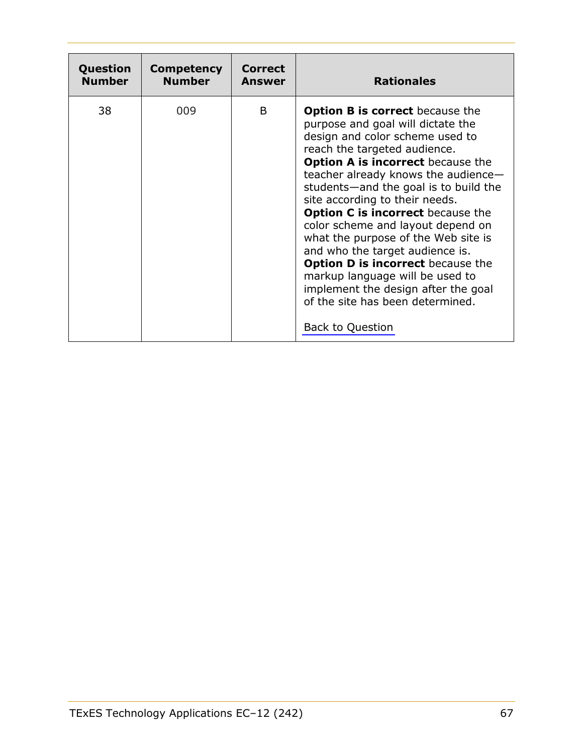<span id="page-66-0"></span>

| Question      | <b>Competency</b> | <b>Correct</b> | <b>Rationales</b>                                                                                                                                                                                                                                                                                                                                                                                                                                                                                                                                                                                                                                            |
|---------------|-------------------|----------------|--------------------------------------------------------------------------------------------------------------------------------------------------------------------------------------------------------------------------------------------------------------------------------------------------------------------------------------------------------------------------------------------------------------------------------------------------------------------------------------------------------------------------------------------------------------------------------------------------------------------------------------------------------------|
| <b>Number</b> | <b>Number</b>     | Answer         |                                                                                                                                                                                                                                                                                                                                                                                                                                                                                                                                                                                                                                                              |
| 38            | 009               | <sub>B</sub>   | <b>Option B is correct</b> because the<br>purpose and goal will dictate the<br>design and color scheme used to<br>reach the targeted audience.<br><b>Option A is incorrect because the</b><br>teacher already knows the audience-<br>students—and the goal is to build the<br>site according to their needs.<br><b>Option C is incorrect</b> because the<br>color scheme and layout depend on<br>what the purpose of the Web site is<br>and who the target audience is.<br><b>Option D is incorrect</b> because the<br>markup language will be used to<br>implement the design after the goal<br>of the site has been determined.<br><b>Back to Question</b> |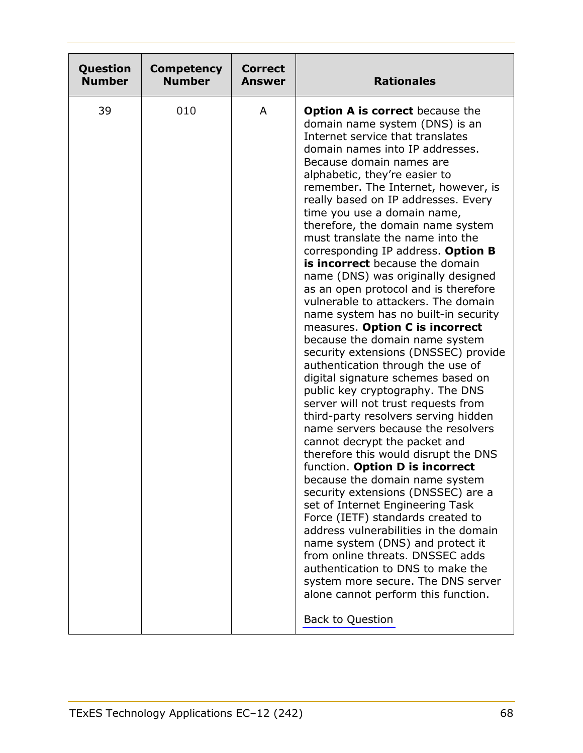<span id="page-67-0"></span>

| Question      | <b>Competency</b> | <b>Correct</b> | <b>Rationales</b>                                                                                                                                                                                                                                                                                                                                                                                                                                                                                                                                                                                                                                                                                                                                                                                                                                                                                                                                                                                                                                                                                                                                                                                                                                                                                                                                                                                                                                                                                                    |
|---------------|-------------------|----------------|----------------------------------------------------------------------------------------------------------------------------------------------------------------------------------------------------------------------------------------------------------------------------------------------------------------------------------------------------------------------------------------------------------------------------------------------------------------------------------------------------------------------------------------------------------------------------------------------------------------------------------------------------------------------------------------------------------------------------------------------------------------------------------------------------------------------------------------------------------------------------------------------------------------------------------------------------------------------------------------------------------------------------------------------------------------------------------------------------------------------------------------------------------------------------------------------------------------------------------------------------------------------------------------------------------------------------------------------------------------------------------------------------------------------------------------------------------------------------------------------------------------------|
| <b>Number</b> | <b>Number</b>     | <b>Answer</b>  |                                                                                                                                                                                                                                                                                                                                                                                                                                                                                                                                                                                                                                                                                                                                                                                                                                                                                                                                                                                                                                                                                                                                                                                                                                                                                                                                                                                                                                                                                                                      |
| 39            | 010               | A              | <b>Option A is correct</b> because the<br>domain name system (DNS) is an<br>Internet service that translates<br>domain names into IP addresses.<br>Because domain names are<br>alphabetic, they're easier to<br>remember. The Internet, however, is<br>really based on IP addresses. Every<br>time you use a domain name,<br>therefore, the domain name system<br>must translate the name into the<br>corresponding IP address. Option B<br>is incorrect because the domain<br>name (DNS) was originally designed<br>as an open protocol and is therefore<br>vulnerable to attackers. The domain<br>name system has no built-in security<br>measures. Option C is incorrect<br>because the domain name system<br>security extensions (DNSSEC) provide<br>authentication through the use of<br>digital signature schemes based on<br>public key cryptography. The DNS<br>server will not trust requests from<br>third-party resolvers serving hidden<br>name servers because the resolvers<br>cannot decrypt the packet and<br>therefore this would disrupt the DNS<br>function. Option D is incorrect<br>because the domain name system<br>security extensions (DNSSEC) are a<br>set of Internet Engineering Task<br>Force (IETF) standards created to<br>address vulnerabilities in the domain<br>name system (DNS) and protect it<br>from online threats. DNSSEC adds<br>authentication to DNS to make the<br>system more secure. The DNS server<br>alone cannot perform this function.<br><b>Back to Question</b> |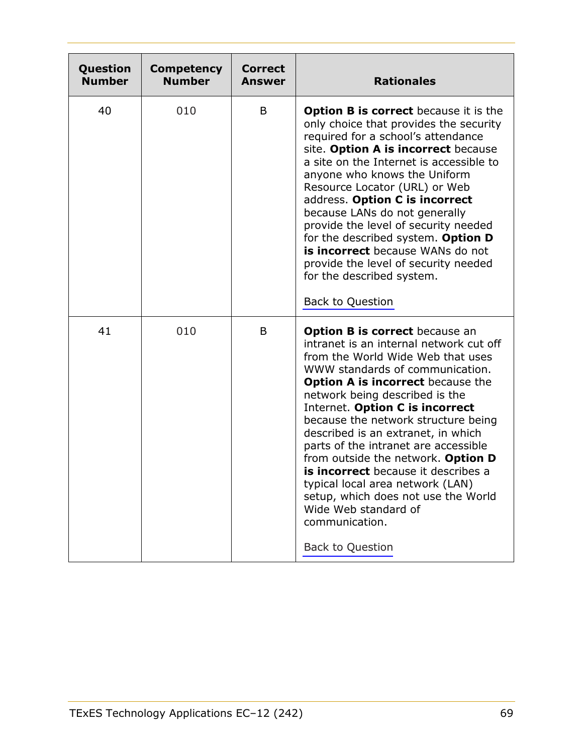<span id="page-68-0"></span>

| Question<br><b>Number</b> | <b>Competency</b><br><b>Number</b> | <b>Correct</b><br><b>Answer</b> | <b>Rationales</b>                                                                                                                                                                                                                                                                                                                                                                                                                                                                                                                                                                                                           |
|---------------------------|------------------------------------|---------------------------------|-----------------------------------------------------------------------------------------------------------------------------------------------------------------------------------------------------------------------------------------------------------------------------------------------------------------------------------------------------------------------------------------------------------------------------------------------------------------------------------------------------------------------------------------------------------------------------------------------------------------------------|
| 40                        | 010                                | B                               | Option B is correct because it is the<br>only choice that provides the security<br>required for a school's attendance<br>site. Option A is incorrect because<br>a site on the Internet is accessible to<br>anyone who knows the Uniform<br>Resource Locator (URL) or Web<br>address. Option C is incorrect<br>because LANs do not generally<br>provide the level of security needed<br>for the described system. Option D<br>is incorrect because WANs do not<br>provide the level of security needed<br>for the described system.<br><b>Back to Question</b>                                                               |
| 41                        | 010                                | B                               | <b>Option B is correct</b> because an<br>intranet is an internal network cut off<br>from the World Wide Web that uses<br>WWW standards of communication.<br><b>Option A is incorrect</b> because the<br>network being described is the<br>Internet. Option C is incorrect<br>because the network structure being<br>described is an extranet, in which<br>parts of the intranet are accessible<br>from outside the network. Option D<br>is incorrect because it describes a<br>typical local area network (LAN)<br>setup, which does not use the World<br>Wide Web standard of<br>communication.<br><b>Back to Question</b> |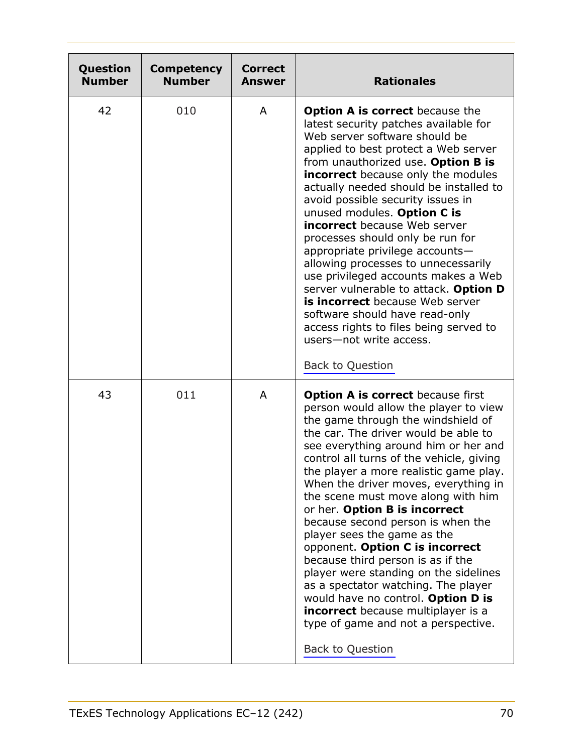<span id="page-69-0"></span>

| Question<br><b>Number</b> | <b>Competency</b><br><b>Number</b> | <b>Correct</b><br>Answer | <b>Rationales</b>                                                                                                                                                                                                                                                                                                                                                                                                                                                                                                                                                                                                                                                                                                                                                                      |
|---------------------------|------------------------------------|--------------------------|----------------------------------------------------------------------------------------------------------------------------------------------------------------------------------------------------------------------------------------------------------------------------------------------------------------------------------------------------------------------------------------------------------------------------------------------------------------------------------------------------------------------------------------------------------------------------------------------------------------------------------------------------------------------------------------------------------------------------------------------------------------------------------------|
| 42                        | 010                                | A                        | <b>Option A is correct</b> because the<br>latest security patches available for<br>Web server software should be<br>applied to best protect a Web server<br>from unauthorized use. Option B is<br><b>incorrect</b> because only the modules<br>actually needed should be installed to<br>avoid possible security issues in<br>unused modules. Option C is<br><b>incorrect</b> because Web server<br>processes should only be run for<br>appropriate privilege accounts-<br>allowing processes to unnecessarily<br>use privileged accounts makes a Web<br>server vulnerable to attack. Option D<br>is incorrect because Web server<br>software should have read-only<br>access rights to files being served to<br>users-not write access.<br><b>Back to Question</b>                    |
| 43                        | 011                                | A                        | <b>Option A is correct because first</b><br>person would allow the player to view<br>the game through the windshield of<br>the car. The driver would be able to<br>see everything around him or her and<br>control all turns of the vehicle, giving<br>the player a more realistic game play.<br>When the driver moves, everything in<br>the scene must move along with him<br>or her. Option B is incorrect<br>because second person is when the<br>player sees the game as the<br>opponent. Option C is incorrect<br>because third person is as if the<br>player were standing on the sidelines<br>as a spectator watching. The player<br>would have no control. Option D is<br><b>incorrect</b> because multiplayer is a<br>type of game and not a perspective.<br>Back to Question |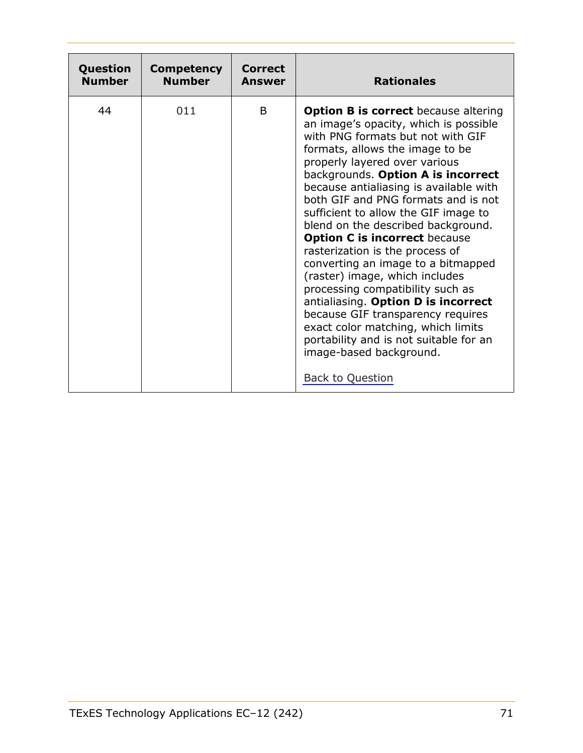<span id="page-70-0"></span>

| Question      | <b>Competency</b> | <b>Correct</b> | <b>Rationales</b>                                                                                                                                                                                                                                                                                                                                                                                                                                                                                                                                                                                                                                                                                                                                                                                           |
|---------------|-------------------|----------------|-------------------------------------------------------------------------------------------------------------------------------------------------------------------------------------------------------------------------------------------------------------------------------------------------------------------------------------------------------------------------------------------------------------------------------------------------------------------------------------------------------------------------------------------------------------------------------------------------------------------------------------------------------------------------------------------------------------------------------------------------------------------------------------------------------------|
| <b>Number</b> | <b>Number</b>     | <b>Answer</b>  |                                                                                                                                                                                                                                                                                                                                                                                                                                                                                                                                                                                                                                                                                                                                                                                                             |
| 44            | 011               | B              | <b>Option B is correct</b> because altering<br>an image's opacity, which is possible<br>with PNG formats but not with GIF<br>formats, allows the image to be<br>properly layered over various<br>backgrounds. Option A is incorrect<br>because antialiasing is available with<br>both GIF and PNG formats and is not<br>sufficient to allow the GIF image to<br>blend on the described background.<br><b>Option C is incorrect because</b><br>rasterization is the process of<br>converting an image to a bitmapped<br>(raster) image, which includes<br>processing compatibility such as<br>antialiasing. Option D is incorrect<br>because GIF transparency requires<br>exact color matching, which limits<br>portability and is not suitable for an<br>image-based background.<br><b>Back to Question</b> |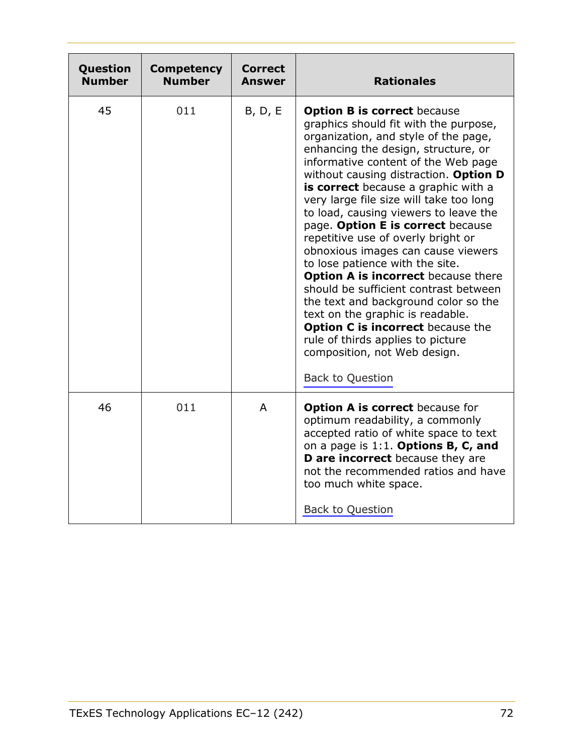<span id="page-71-0"></span>

| Question<br><b>Number</b> | <b>Competency</b><br><b>Number</b> | Correct<br><b>Answer</b> | <b>Rationales</b>                                                                                                                                                                                                                                                                                                                                                                                                                                                                                                                                                                                                                                                                                                                                                                                                                 |
|---------------------------|------------------------------------|--------------------------|-----------------------------------------------------------------------------------------------------------------------------------------------------------------------------------------------------------------------------------------------------------------------------------------------------------------------------------------------------------------------------------------------------------------------------------------------------------------------------------------------------------------------------------------------------------------------------------------------------------------------------------------------------------------------------------------------------------------------------------------------------------------------------------------------------------------------------------|
| 45                        | 011                                | B, D, E                  | <b>Option B is correct because</b><br>graphics should fit with the purpose,<br>organization, and style of the page,<br>enhancing the design, structure, or<br>informative content of the Web page<br>without causing distraction. Option D<br>is correct because a graphic with a<br>very large file size will take too long<br>to load, causing viewers to leave the<br>page. Option E is correct because<br>repetitive use of overly bright or<br>obnoxious images can cause viewers<br>to lose patience with the site.<br><b>Option A is incorrect</b> because there<br>should be sufficient contrast between<br>the text and background color so the<br>text on the graphic is readable.<br><b>Option C is incorrect</b> because the<br>rule of thirds applies to picture<br>composition, not Web design.<br>Back to Question |
| 46                        | 011                                | $\mathsf{A}$             | <b>Option A is correct</b> because for<br>optimum readability, a commonly<br>accepted ratio of white space to text<br>on a page is $1:1$ . Options B, C, and<br>D are incorrect because they are<br>not the recommended ratios and have<br>too much white space.<br><b>Back to Question</b>                                                                                                                                                                                                                                                                                                                                                                                                                                                                                                                                       |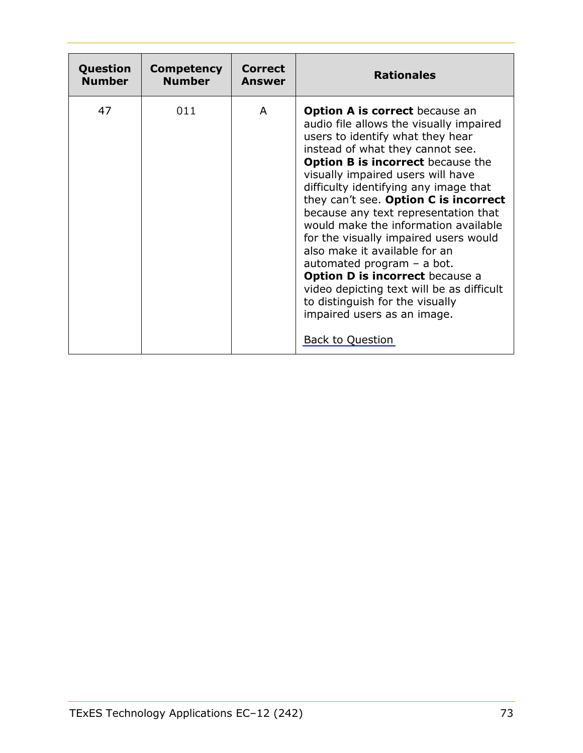| Question      | <b>Competency</b> | Correct | <b>Rationales</b>                                                                                                                                                                                                                                                                                                                                                                                                                                                                                                                                                                                                                                                                                  |
|---------------|-------------------|---------|----------------------------------------------------------------------------------------------------------------------------------------------------------------------------------------------------------------------------------------------------------------------------------------------------------------------------------------------------------------------------------------------------------------------------------------------------------------------------------------------------------------------------------------------------------------------------------------------------------------------------------------------------------------------------------------------------|
| <b>Number</b> | <b>Number</b>     | Answer  |                                                                                                                                                                                                                                                                                                                                                                                                                                                                                                                                                                                                                                                                                                    |
| 47            | 011               | A       | <b>Option A is correct</b> because an<br>audio file allows the visually impaired<br>users to identify what they hear<br>instead of what they cannot see.<br><b>Option B is incorrect because the</b><br>visually impaired users will have<br>difficulty identifying any image that<br>they can't see. Option C is incorrect<br>because any text representation that<br>would make the information available<br>for the visually impaired users would<br>also make it available for an<br>automated program $-$ a bot.<br><b>Option D is incorrect because a</b><br>video depicting text will be as difficult<br>to distinguish for the visually<br>impaired users as an image.<br>Back to Question |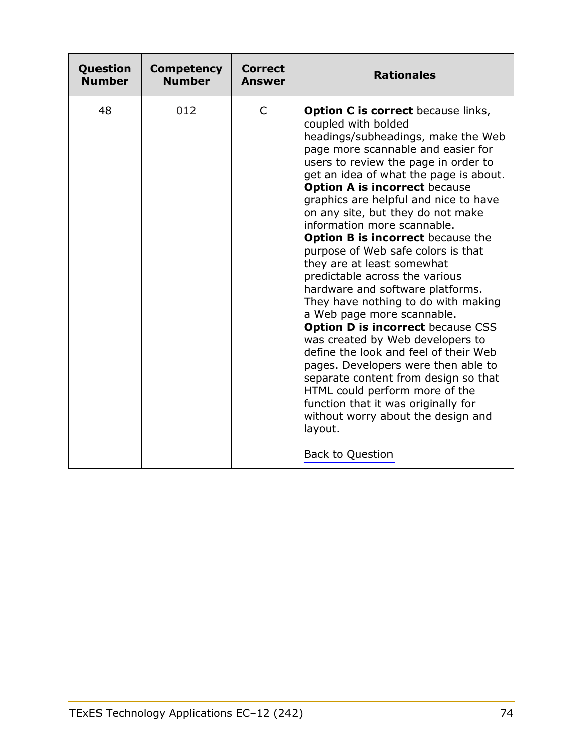| Question      | <b>Competency</b> | Correct | <b>Rationales</b>                                                                                                                                                                                                                                                                                                                                                                                                                                                                                                                                                                                                                                                                                                                                                                                                                                                                                                                                                                                           |
|---------------|-------------------|---------|-------------------------------------------------------------------------------------------------------------------------------------------------------------------------------------------------------------------------------------------------------------------------------------------------------------------------------------------------------------------------------------------------------------------------------------------------------------------------------------------------------------------------------------------------------------------------------------------------------------------------------------------------------------------------------------------------------------------------------------------------------------------------------------------------------------------------------------------------------------------------------------------------------------------------------------------------------------------------------------------------------------|
| <b>Number</b> | <b>Number</b>     | Answer  |                                                                                                                                                                                                                                                                                                                                                                                                                                                                                                                                                                                                                                                                                                                                                                                                                                                                                                                                                                                                             |
| 48            | 012               | C       | <b>Option C is correct</b> because links,<br>coupled with bolded<br>headings/subheadings, make the Web<br>page more scannable and easier for<br>users to review the page in order to<br>get an idea of what the page is about.<br><b>Option A is incorrect because</b><br>graphics are helpful and nice to have<br>on any site, but they do not make<br>information more scannable.<br><b>Option B is incorrect</b> because the<br>purpose of Web safe colors is that<br>they are at least somewhat<br>predictable across the various<br>hardware and software platforms.<br>They have nothing to do with making<br>a Web page more scannable.<br><b>Option D is incorrect because CSS</b><br>was created by Web developers to<br>define the look and feel of their Web<br>pages. Developers were then able to<br>separate content from design so that<br>HTML could perform more of the<br>function that it was originally for<br>without worry about the design and<br>layout.<br><b>Back to Question</b> |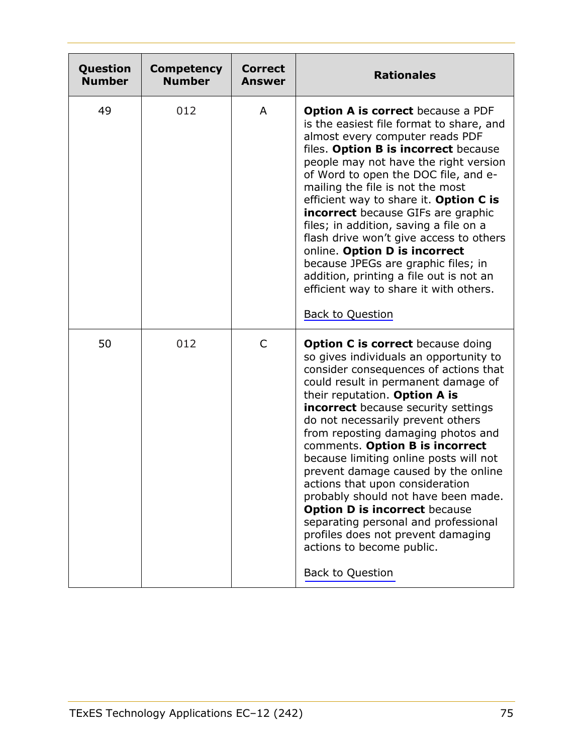| Question<br><b>Number</b> | <b>Competency</b><br><b>Number</b> | <b>Correct</b><br>Answer | <b>Rationales</b>                                                                                                                                                                                                                                                                                                                                                                                                                                                                                                                                                                                                                                                                                        |
|---------------------------|------------------------------------|--------------------------|----------------------------------------------------------------------------------------------------------------------------------------------------------------------------------------------------------------------------------------------------------------------------------------------------------------------------------------------------------------------------------------------------------------------------------------------------------------------------------------------------------------------------------------------------------------------------------------------------------------------------------------------------------------------------------------------------------|
| 49                        | 012                                | A                        | <b>Option A is correct</b> because a PDF<br>is the easiest file format to share, and<br>almost every computer reads PDF<br>files. Option B is incorrect because<br>people may not have the right version<br>of Word to open the DOC file, and e-<br>mailing the file is not the most<br>efficient way to share it. Option C is<br><b>incorrect</b> because GIFs are graphic<br>files; in addition, saving a file on a<br>flash drive won't give access to others<br>online. Option D is incorrect<br>because JPEGs are graphic files; in<br>addition, printing a file out is not an<br>efficient way to share it with others.<br><b>Back to Question</b>                                                 |
| 50                        | 012                                | C                        | <b>Option C is correct</b> because doing<br>so gives individuals an opportunity to<br>consider consequences of actions that<br>could result in permanent damage of<br>their reputation. Option A is<br><b>incorrect</b> because security settings<br>do not necessarily prevent others<br>from reposting damaging photos and<br>comments. Option B is incorrect<br>because limiting online posts will not<br>prevent damage caused by the online<br>actions that upon consideration<br>probably should not have been made.<br><b>Option D is incorrect because</b><br>separating personal and professional<br>profiles does not prevent damaging<br>actions to become public.<br><b>Back to Question</b> |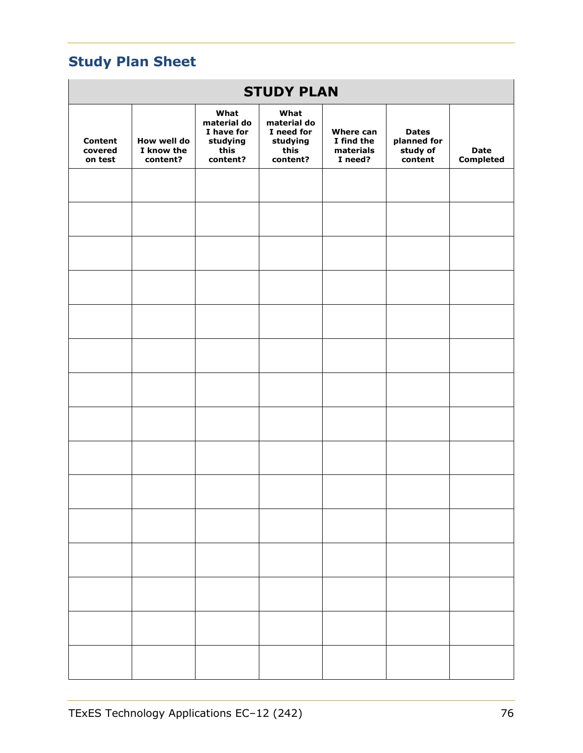# **Study Plan Sheet**

| <b>STUDY PLAN</b>                    |                                       |                                                                   |                                                                   |                                                 |                                                    |                                 |  |
|--------------------------------------|---------------------------------------|-------------------------------------------------------------------|-------------------------------------------------------------------|-------------------------------------------------|----------------------------------------------------|---------------------------------|--|
| <b>Content</b><br>covered<br>on test | How well do<br>I know the<br>content? | What<br>material do<br>I have for<br>studying<br>this<br>content? | What<br>material do<br>I need for<br>studying<br>this<br>content? | Where can<br>I find the<br>materials<br>I need? | <b>Dates</b><br>planned for<br>study of<br>content | <b>Date</b><br><b>Completed</b> |  |
|                                      |                                       |                                                                   |                                                                   |                                                 |                                                    |                                 |  |
|                                      |                                       |                                                                   |                                                                   |                                                 |                                                    |                                 |  |
|                                      |                                       |                                                                   |                                                                   |                                                 |                                                    |                                 |  |
|                                      |                                       |                                                                   |                                                                   |                                                 |                                                    |                                 |  |
|                                      |                                       |                                                                   |                                                                   |                                                 |                                                    |                                 |  |
|                                      |                                       |                                                                   |                                                                   |                                                 |                                                    |                                 |  |
|                                      |                                       |                                                                   |                                                                   |                                                 |                                                    |                                 |  |
|                                      |                                       |                                                                   |                                                                   |                                                 |                                                    |                                 |  |
|                                      |                                       |                                                                   |                                                                   |                                                 |                                                    |                                 |  |
|                                      |                                       |                                                                   |                                                                   |                                                 |                                                    |                                 |  |
|                                      |                                       |                                                                   |                                                                   |                                                 |                                                    |                                 |  |
|                                      |                                       |                                                                   |                                                                   |                                                 |                                                    |                                 |  |
|                                      |                                       |                                                                   |                                                                   |                                                 |                                                    |                                 |  |
|                                      |                                       |                                                                   |                                                                   |                                                 |                                                    |                                 |  |
|                                      |                                       |                                                                   |                                                                   |                                                 |                                                    |                                 |  |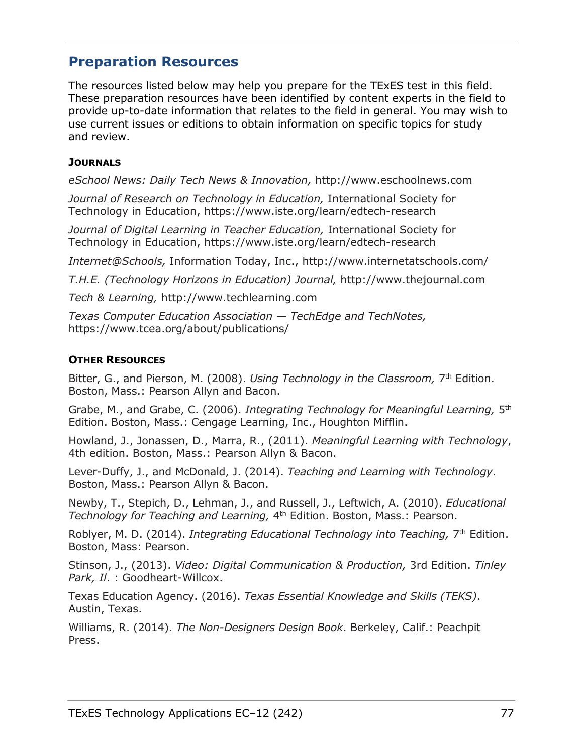# **Preparation Resources**

The resources listed below may help you prepare for the TExES test in this field. These preparation resources have been identified by content experts in the field to provide up-to-date information that relates to the field in general. You may wish to use current issues or editions to obtain information on specific topics for study and review.

## **JOURNALS**

*eSchool News: Daily Tech News & Innovation,* http://www.eschoolnews.com

*Journal of Research on Technology in Education,* International Society for Technology in Education, https://www.iste.org/learn/edtech-research

*Journal of Digital Learning in Teacher Education,* International Society for Technology in Education, https://www.iste.org/learn/edtech-research

*Internet@Schools,* Information Today, Inc., http://www.internetatschools.com/

*T.H.E. (Technology Horizons in Education) Journal,* http://www.thejournal.com

*Tech & Learning,* http://www.techlearning.com

*Texas Computer Education Association — TechEdge and TechNotes,*  https://www.tcea.org/about/publications/

### **OTHER RESOURCES**

Bitter, G., and Pierson, M. (2008). *Using Technology in the Classroom,* 7th Edition. Boston, Mass.: Pearson Allyn and Bacon.

Grabe, M., and Grabe, C. (2006). *Integrating Technology for Meaningful Learning,* 5th Edition. Boston, Mass.: Cengage Learning, Inc., Houghton Mifflin.

Howland, J., Jonassen, D., Marra, R., (2011). *Meaningful Learning with Technology*, 4th edition. Boston, Mass.: Pearson Allyn & Bacon.

Lever-Duffy, J., and McDonald, J. (2014). *Teaching and Learning with Technology*. Boston, Mass.: Pearson Allyn & Bacon.

Newby, T., Stepich, D., Lehman, J., and Russell, J., Leftwich, A. (2010). *Educational Technology for Teaching and Learning,* 4th Edition. Boston, Mass.: Pearson.

Roblyer, M. D. (2014). *Integrating Educational Technology into Teaching,* 7<sup>th</sup> Edition. Boston, Mass: Pearson.

Stinson, J., (2013). *Video: Digital Communication & Production,* 3rd Edition. *Tinley Park, Il*. : Goodheart-Willcox.

Texas Education Agency. (2016). *Texas Essential Knowledge and Skills (TEKS)*. Austin, Texas.

Williams, R. (2014). *The Non-Designers Design Book*. Berkeley, Calif.: Peachpit Press.